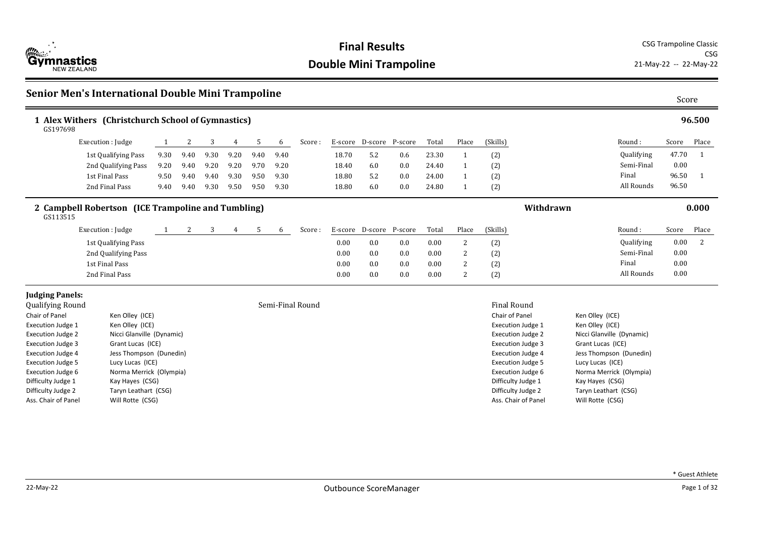

## **Senior Men's International Double Mini Trampoline** Score Score Score Score Score

| 96.500<br>1 Alex Withers (Christchurch School of Gymnastics)<br>GS197698 |                                                    |      |      |      |      |      |      |                  |         |                 |     |       |                |                                                      |           |                                             |            |       |       |
|--------------------------------------------------------------------------|----------------------------------------------------|------|------|------|------|------|------|------------------|---------|-----------------|-----|-------|----------------|------------------------------------------------------|-----------|---------------------------------------------|------------|-------|-------|
|                                                                          | Execution : Judge                                  | 1    | 2    | 3    | 4    | 5    | 6    | Score:           | E-score | D-score P-score |     | Total | Place          | (Skills)                                             |           |                                             | Round:     | Score | Place |
|                                                                          | 1st Qualifying Pass                                | 9.30 | 9.40 | 9.30 | 9.20 | 9.40 | 9.40 |                  | 18.70   | 5.2             | 0.6 | 23.30 | $\mathbf{1}$   | (2)                                                  |           |                                             | Qualifying | 47.70 |       |
|                                                                          | 2nd Qualifying Pass                                | 9.20 | 9.40 | 9.20 | 9.20 | 9.70 | 9.20 |                  | 18.40   | 6.0             | 0.0 | 24.40 | -1             | (2)                                                  |           |                                             | Semi-Final | 0.00  |       |
|                                                                          | 1st Final Pass                                     | 9.50 | 9.40 | 9.40 | 9.30 | 9.50 | 9.30 |                  | 18.80   | 5.2             | 0.0 | 24.00 | $\mathbf{1}$   | (2)                                                  |           |                                             | Final      | 96.50 | -1    |
|                                                                          | 2nd Final Pass                                     | 9.40 | 9.40 | 9.30 | 9.50 | 9.50 | 9.30 |                  | 18.80   | 6.0             | 0.0 | 24.80 | $\overline{1}$ | (2)                                                  |           |                                             | All Rounds | 96.50 |       |
| GS113515                                                                 | 2 Campbell Robertson (ICE Trampoline and Tumbling) |      |      |      |      |      |      |                  |         |                 |     |       |                |                                                      | Withdrawn |                                             |            |       | 0.000 |
|                                                                          | Execution : Judge                                  |      | 2    | 3    | 4    | 5    | 6    | Score:           | E-score | D-score P-score |     | Total | Place          | (Skills)                                             |           |                                             | Round:     | Score | Place |
|                                                                          | 1st Qualifying Pass                                |      |      |      |      |      |      |                  | 0.00    | 0.0             | 0.0 | 0.00  | 2              | (2)                                                  |           |                                             | Qualifying | 0.00  | 2     |
|                                                                          | 2nd Qualifying Pass                                |      |      |      |      |      |      |                  | 0.00    | 0.0             | 0.0 | 0.00  | 2              | (2)                                                  |           |                                             | Semi-Final | 0.00  |       |
|                                                                          | 1st Final Pass                                     |      |      |      |      |      |      |                  | 0.00    | 0.0             | 0.0 | 0.00  | 2              | (2)                                                  |           |                                             | Final      | 0.00  |       |
|                                                                          | 2nd Final Pass                                     |      |      |      |      |      |      |                  | 0.00    | 0.0             | 0.0 | 0.00  | 2              | (2)                                                  |           |                                             | All Rounds | 0.00  |       |
| <b>Judging Panels:</b>                                                   |                                                    |      |      |      |      |      |      |                  |         |                 |     |       |                |                                                      |           |                                             |            |       |       |
| Qualifying Round                                                         |                                                    |      |      |      |      |      |      | Semi-Final Round |         |                 |     |       |                | <b>Final Round</b>                                   |           |                                             |            |       |       |
| Chair of Panel                                                           | Ken Olley (ICE)                                    |      |      |      |      |      |      |                  |         |                 |     |       |                | Chair of Panel                                       |           | Ken Olley (ICE)                             |            |       |       |
| Execution Judge 1                                                        | Ken Olley (ICE)                                    |      |      |      |      |      |      |                  |         |                 |     |       |                | Execution Judge 1                                    |           | Ken Olley (ICE)                             |            |       |       |
| <b>Execution Judge 2</b>                                                 | Nicci Glanville (Dynamic)                          |      |      |      |      |      |      |                  |         |                 |     |       |                | <b>Execution Judge 2</b>                             |           | Nicci Glanville (Dynamic)                   |            |       |       |
| <b>Execution Judge 3</b>                                                 | Grant Lucas (ICE)                                  |      |      |      |      |      |      |                  |         |                 |     |       |                | <b>Execution Judge 3</b>                             |           | Grant Lucas (ICE)                           |            |       |       |
| <b>Execution Judge 4</b><br><b>Execution Judge 5</b>                     | Jess Thompson (Dunedin)<br>Lucy Lucas (ICE)        |      |      |      |      |      |      |                  |         |                 |     |       |                | <b>Execution Judge 4</b><br><b>Execution Judge 5</b> |           | Jess Thompson (Dunedin)<br>Lucy Lucas (ICE) |            |       |       |
| <b>Execution Judge 6</b>                                                 | Norma Merrick (Olympia)                            |      |      |      |      |      |      |                  |         |                 |     |       |                | Execution Judge 6                                    |           | Norma Merrick (Olympia)                     |            |       |       |
| Difficulty Judge 1                                                       | Kay Hayes (CSG)                                    |      |      |      |      |      |      |                  |         |                 |     |       |                | Difficulty Judge 1                                   |           | Kay Hayes (CSG)                             |            |       |       |
| Difficulty Judge 2                                                       | Taryn Leathart (CSG)                               |      |      |      |      |      |      |                  |         |                 |     |       |                | Difficulty Judge 2                                   |           | Taryn Leathart (CSG)                        |            |       |       |
| Will Rotte (CSG)<br>Ass. Chair of Panel                                  |                                                    |      |      |      |      |      |      |                  |         |                 |     |       |                | Ass. Chair of Panel                                  |           | Will Rotte (CSG)                            |            |       |       |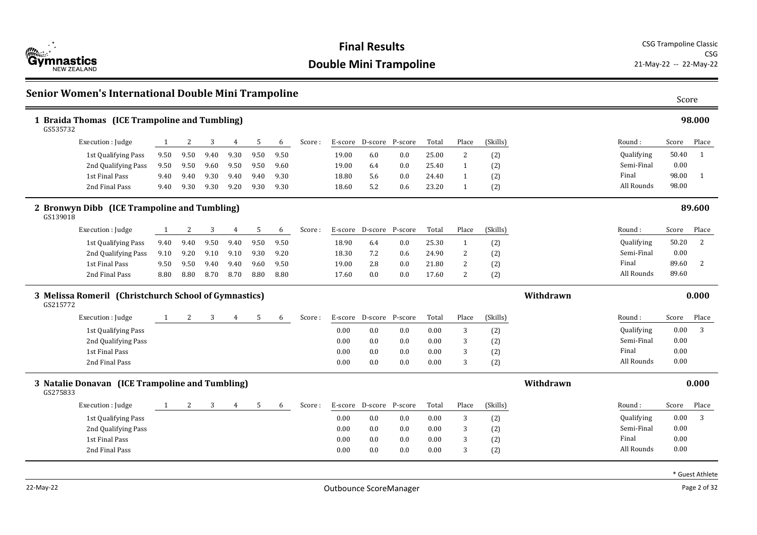

| <b>Senior Women's International Double Mini Trampoline</b><br>Score |                                                       |      |      |      |      |      |      |        |       |                 |         |       |              |          |           |            |       |              |
|---------------------------------------------------------------------|-------------------------------------------------------|------|------|------|------|------|------|--------|-------|-----------------|---------|-------|--------------|----------|-----------|------------|-------|--------------|
| GS535732                                                            | 1 Braida Thomas (ICE Trampoline and Tumbling)         |      |      |      |      |      |      |        |       |                 |         |       |              |          |           |            |       | 98.000       |
|                                                                     | Execution : Judge                                     | 1    | 2    | 3    | 4    | 5    | 6    | Score: |       | E-score D-score | P-score | Total | Place        | (Skills) |           | Round:     | Score | Place        |
|                                                                     | 1st Qualifying Pass                                   | 9.50 | 9.50 | 9.40 | 9.30 | 9.50 | 9.50 |        | 19.00 | 6.0             | 0.0     | 25.00 | 2            | (2)      |           | Qualifying | 50.40 | 1            |
|                                                                     | 2nd Qualifying Pass                                   | 9.50 | 9.50 | 9.60 | 9.50 | 9.50 | 9.60 |        | 19.00 | 6.4             | 0.0     | 25.40 | 1            | (2)      |           | Semi-Final | 0.00  |              |
|                                                                     | 1st Final Pass                                        | 9.40 | 9.40 | 9.30 | 9.40 | 9.40 | 9.30 |        | 18.80 | 5.6             | 0.0     | 24.40 | 1            | (2)      |           | Final      | 98.00 | $\mathbf{1}$ |
|                                                                     | 2nd Final Pass                                        | 9.40 | 9.30 | 9.30 | 9.20 | 9.30 | 9.30 |        | 18.60 | 5.2             | 0.6     | 23.20 | -1           | (2)      |           | All Rounds | 98.00 |              |
| GS139018                                                            | 2 Bronwyn Dibb (ICE Trampoline and Tumbling)          |      |      |      |      |      |      |        |       |                 |         |       |              |          |           |            |       | 89.600       |
|                                                                     | Execution : Judge                                     | 1    | 2    | 3    | 4    | 5    | 6    | Score: |       | E-score D-score | P-score | Total | Place        | (Skills) |           | Round :    | Score | Place        |
|                                                                     | 1st Qualifying Pass                                   | 9.40 | 9.40 | 9.50 | 9.40 | 9.50 | 9.50 |        | 18.90 | 6.4             | 0.0     | 25.30 | $\mathbf{1}$ | (2)      |           | Qualifying | 50.20 | 2            |
|                                                                     | 2nd Qualifying Pass                                   | 9.10 | 9.20 | 9.10 | 9.10 | 9.30 | 9.20 |        | 18.30 | 7.2             | 0.6     | 24.90 | 2            | (2)      |           | Semi-Final | 0.00  |              |
|                                                                     | 1st Final Pass                                        | 9.50 | 9.50 | 9.40 | 9.40 | 9.60 | 9.50 |        | 19.00 | 2.8             | 0.0     | 21.80 | 2            | (2)      |           | Final      | 89.60 | 2            |
|                                                                     | 2nd Final Pass                                        | 8.80 | 8.80 | 8.70 | 8.70 | 8.80 | 8.80 |        | 17.60 | 0.0             | 0.0     | 17.60 | 2            | (2)      |           | All Rounds | 89.60 |              |
| GS215772                                                            | 3 Melissa Romeril (Christchurch School of Gymnastics) |      |      |      |      |      |      |        |       |                 |         |       |              |          | Withdrawn |            |       | 0.000        |
|                                                                     | Execution: Judge                                      | 1    | 2    | 3    | 4    | 5    | 6    | Score: |       | E-score D-score | P-score | Total | Place        | (Skills) |           | Round:     | Score | Place        |
|                                                                     | 1st Qualifying Pass                                   |      |      |      |      |      |      |        | 0.00  | 0.0             | 0.0     | 0.00  | 3            | (2)      |           | Qualifying | 0.00  | 3            |
|                                                                     | 2nd Qualifying Pass                                   |      |      |      |      |      |      |        | 0.00  | 0.0             | 0.0     | 0.00  | 3            | (2)      |           | Semi-Final | 0.00  |              |
|                                                                     | 1st Final Pass                                        |      |      |      |      |      |      |        | 0.00  | 0.0             | 0.0     | 0.00  | 3            | (2)      |           | Final      | 0.00  |              |
|                                                                     | 2nd Final Pass                                        |      |      |      |      |      |      |        | 0.00  | 0.0             | 0.0     | 0.00  | 3            | (2)      |           | All Rounds | 0.00  |              |
| 3 Natalie Donavan (ICE Trampoline and Tumbling)<br>GS275833         |                                                       |      |      |      |      |      |      |        |       |                 |         |       |              |          | Withdrawn |            |       | 0.000        |
|                                                                     | Execution : Judge                                     |      | 2    | 3    | 4    | 5    | 6    | Score: |       | E-score D-score | P-score | Total | Place        | (Skills) |           | Round:     | Score | Place        |
|                                                                     | 1st Qualifying Pass                                   |      |      |      |      |      |      |        | 0.00  | 0.0             | 0.0     | 0.00  | 3            | (2)      |           | Qualifying | 0.00  | 3            |
|                                                                     | 2nd Qualifying Pass                                   |      |      |      |      |      |      |        | 0.00  | 0.0             | 0.0     | 0.00  | 3            | (2)      |           | Semi-Final | 0.00  |              |
|                                                                     | 1st Final Pass                                        |      |      |      |      |      |      |        | 0.00  | 0.0             | 0.0     | 0.00  | 3            | (2)      |           | Final      | 0.00  |              |
|                                                                     | 2nd Final Pass                                        |      |      |      |      |      |      |        | 0.00  | 0.0             | 0.0     | 0.00  | 3            | (2)      |           | All Rounds | 0.00  |              |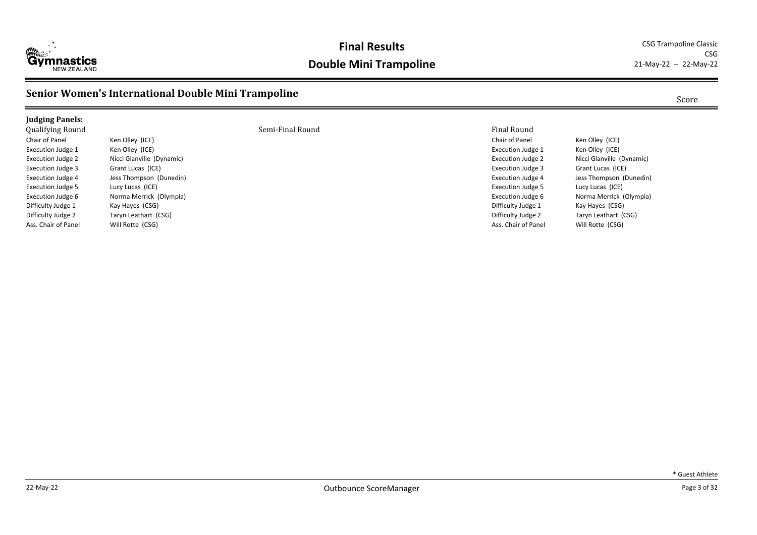

CSG<br>21-May-22 -- 22-May-22

## **Senior Women's International Double Mini Trampoline** Score Score Score Score

| <b>Judging Panels:</b>   |                           |                  |                          |                           |
|--------------------------|---------------------------|------------------|--------------------------|---------------------------|
| <b>Qualifying Round</b>  |                           | Semi-Final Round | Final Round              |                           |
| Chair of Panel           | Ken Olley (ICE)           |                  | Chair of Panel           | Ken Olley (ICE)           |
| Execution Judge 1        | Ken Olley (ICE)           |                  | Execution Judge 1        | Ken Olley (ICE)           |
| Execution Judge 2        | Nicci Glanville (Dynamic) |                  | <b>Execution Judge 2</b> | Nicci Glanville (Dynamic) |
| Execution Judge 3        | Grant Lucas (ICE)         |                  | <b>Execution Judge 3</b> | Grant Lucas (ICE)         |
| <b>Execution Judge 4</b> | Jess Thompson (Dunedin)   |                  | <b>Execution Judge 4</b> | Jess Thompson (Dunedin)   |
| Execution Judge 5        | Lucy Lucas (ICE)          |                  | <b>Execution Judge 5</b> | Lucy Lucas (ICE)          |
| Execution Judge 6        | Norma Merrick (Olympia)   |                  | Execution Judge 6        | Norma Merrick (Olympia)   |
| Difficulty Judge 1       | Kay Hayes (CSG)           |                  | Difficulty Judge 1       | Kay Hayes (CSG)           |
| Difficulty Judge 2       | Taryn Leathart (CSG)      |                  | Difficulty Judge 2       | Taryn Leathart (CSG)      |
| Ass. Chair of Panel      | Will Rotte (CSG)          |                  | Ass. Chair of Panel      | Will Rotte (CSG)          |
|                          |                           |                  |                          |                           |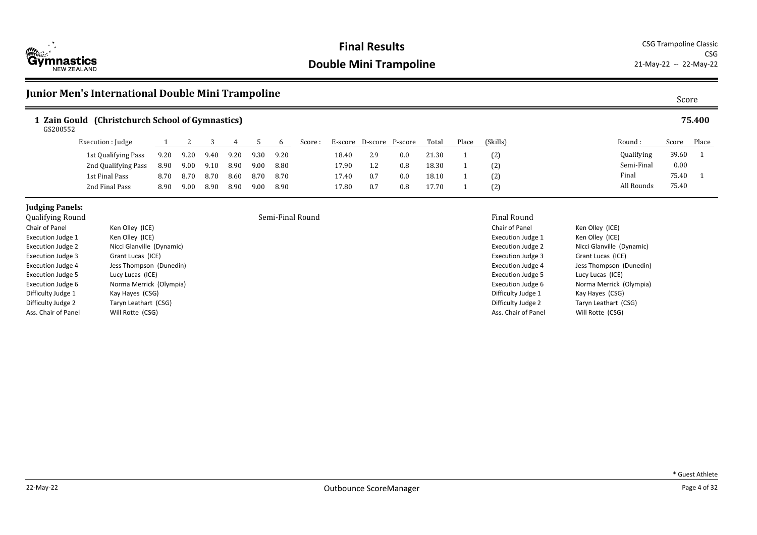

## **Junior Men's International Double Mini Trampoline** Score Score Score Score Score

### **1 Zain Gould (Christchurch School of Gymnastics) 75.400**

GS200552

| Execution : Judge   |      |      |      |      |      | b    | Score : | E-score | D-score | P-score | Total | Place | (Skills) |
|---------------------|------|------|------|------|------|------|---------|---------|---------|---------|-------|-------|----------|
| 1st Qualifying Pass | 9.20 | 9.20 | 9.40 | 9.20 | 9.30 | 9.20 |         | 18.40   | 2.9     | 0.0     | 21.30 |       | (2)      |
| 2nd Qualifying Pass | 8.90 | 9.00 | 9.10 | 8.90 | 9.00 | 8.80 |         | 17.90   | 1.2     | 0.8     | 18.30 |       | (2)      |
| 1st Final Pass      | 8.70 | 8.70 | 8.70 | 8.60 | 8.70 | 8.70 |         | 17.40   | 0.7     | 0.0     | 18.10 |       | (2)      |
| 2nd Final Pass      | 8.90 | 9.00 | 8.90 | 8.90 | 9.00 | 8.90 |         | 17.80   | 0.7     | 0.8     | 17.70 |       | (2)      |

## **Judging Panels:**<br>Oualifying Round

| Qualifying Round         |                           | Semi-Final Round | Final Round           |
|--------------------------|---------------------------|------------------|-----------------------|
| Chair of Panel           | Ken Olley (ICE)           |                  | Chair of Panel        |
| <b>Execution Judge 1</b> | Ken Olley (ICE)           |                  | <b>Execution Judg</b> |
| <b>Execution Judge 2</b> | Nicci Glanville (Dynamic) |                  | <b>Execution Judg</b> |
| <b>Execution Judge 3</b> | Grant Lucas (ICE)         |                  | <b>Execution Judg</b> |
| Execution Judge 4        | Jess Thompson (Dunedin)   |                  | <b>Execution Judg</b> |
| <b>Execution Judge 5</b> | Lucy Lucas (ICE)          |                  | <b>Execution Judg</b> |
| Execution Judge 6        | Norma Merrick (Olympia)   |                  | <b>Execution Judg</b> |
| Difficulty Judge 1       | Kay Hayes (CSG)           |                  | Difficulty Judg       |
| Difficulty Judge 2       | Taryn Leathart (CSG)      |                  | Difficulty Judge      |
| Ass. Chair of Panel      | Will Rotte (CSG)          |                  | Ass. Chair of P       |

Chair of Panel Ken Olley (ICE) Execution Judge 1 Ken Olley (ICE) Execution Judge 2 Nicci Glanville (Dynamic) Execution Judge 3 Grant Lucas (ICE) Execution Judge 4 Jess Thompson (Dunedin) Execution Judge 5 Lucy Lucas (ICE) Execution Judge 6 Norma Merrick (Olympia) Difficulty Judge 1 Kay Hayes (CSG) Difficulty Judge 2 Taryn Leathart (CSG) Ass. Chair of Panel Will Rotte (CSG)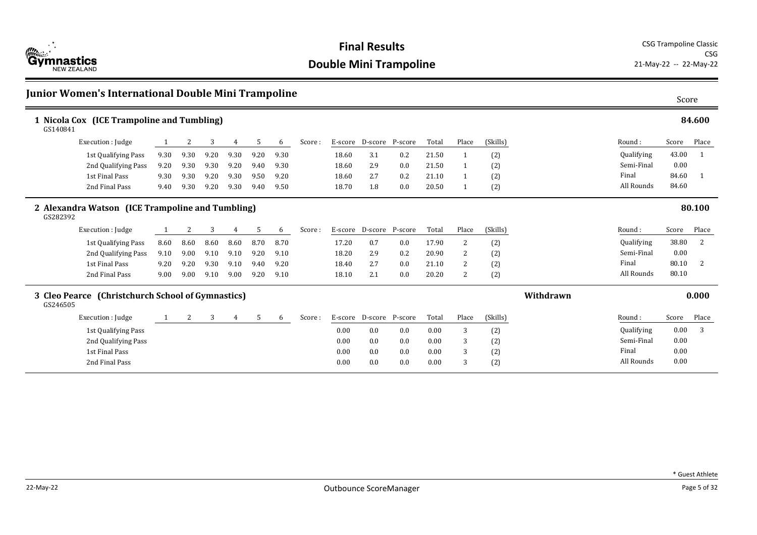

| Junior Women's International Double Mini Trampoline           |              |      |      |                |      |      |        |       |                 |         |       |                |          |           | Score      |       |        |
|---------------------------------------------------------------|--------------|------|------|----------------|------|------|--------|-------|-----------------|---------|-------|----------------|----------|-----------|------------|-------|--------|
| 1 Nicola Cox (ICE Trampoline and Tumbling)<br>GS140841        |              |      |      |                |      |      |        |       |                 |         |       |                |          |           |            |       | 84.600 |
| Execution : Judge                                             |              | 2    | 3    | 4              | 5    | 6    | Score: |       | E-score D-score | P-score | Total | Place          | (Skills) |           | Round:     | Score | Place  |
| 1st Qualifying Pass                                           | 9.30         | 9.30 | 9.20 | 9.30           | 9.20 | 9.30 |        | 18.60 | 3.1             | 0.2     | 21.50 | 1              | (2)      |           | Qualifying | 43.00 | -1     |
| 2nd Qualifying Pass                                           | 9.20         | 9.30 | 9.30 | 9.20           | 9.40 | 9.30 |        | 18.60 | 2.9             | 0.0     | 21.50 |                | (2)      |           | Semi-Final | 0.00  |        |
| 1st Final Pass                                                | 9.30         | 9.30 | 9.20 | 9.30           | 9.50 | 9.20 |        | 18.60 | 2.7             | 0.2     | 21.10 |                | (2)      |           | Final      | 84.60 |        |
| 2nd Final Pass                                                | 9.40         | 9.30 | 9.20 | 9.30           | 9.40 | 9.50 |        | 18.70 | 1.8             | 0.0     | 20.50 |                | (2)      |           | All Rounds | 84.60 |        |
| 2 Alexandra Watson (ICE Trampoline and Tumbling)<br>GS282392  |              |      |      |                |      |      |        |       |                 |         |       |                |          |           | 80.100     |       |        |
| Execution : Judge                                             |              | 2    | 3    | 4              | 5    | 6    | Score: |       | E-score D-score | P-score | Total | Place          | (Skills) |           | Round:     | Score | Place  |
| 1st Qualifying Pass                                           | 8.60         | 8.60 | 8.60 | 8.60           | 8.70 | 8.70 |        | 17.20 | 0.7             | 0.0     | 17.90 | 2              | (2)      |           | Qualifying | 38.80 | 2      |
| 2nd Qualifying Pass                                           | 9.10         | 9.00 | 9.10 | 9.10           | 9.20 | 9.10 |        | 18.20 | 2.9             | 0.2     | 20.90 | $\overline{2}$ | (2)      |           | Semi-Final | 0.00  |        |
| 1st Final Pass                                                | 9.20         | 9.20 | 9.30 | 9.10           | 9.40 | 9.20 |        | 18.40 | 2.7             | 0.0     | 21.10 | 2              | (2)      |           | Final      | 80.10 | 2      |
| 2nd Final Pass                                                | 9.00         | 9.00 | 9.10 | 9.00           | 9.20 | 9.10 |        | 18.10 | 2.1             | 0.0     | 20.20 | 2              | (2)      |           | All Rounds | 80.10 |        |
| 3 Cleo Pearce (Christchurch School of Gymnastics)<br>GS246505 |              |      |      |                |      |      |        |       |                 |         |       |                |          | Withdrawn |            |       | 0.000  |
| Execution : Judge                                             | $\mathbf{1}$ | 2    | 3    | $\overline{4}$ | 5    | 6    | Score: |       | E-score D-score | P-score | Total | Place          | (Skills) |           | Round:     | Score | Place  |
| 1st Qualifying Pass                                           |              |      |      |                |      |      |        | 0.00  | 0.0             | 0.0     | 0.00  | 3              | (2)      |           | Qualifying | 0.00  | 3      |
| 2nd Qualifying Pass                                           |              |      |      |                |      |      |        | 0.00  | 0.0             | 0.0     | 0.00  | 3              | (2)      |           | Semi-Final | 0.00  |        |
| 1st Final Pass                                                |              |      |      |                |      |      |        | 0.00  | 0.0             | 0.0     | 0.00  | 3              | (2)      |           | Final      | 0.00  |        |
| 2nd Final Pass                                                |              |      |      |                |      |      |        | 0.00  | 0.0             | 0.0     | 0.00  | 3              | (2)      |           | All Rounds | 0.00  |        |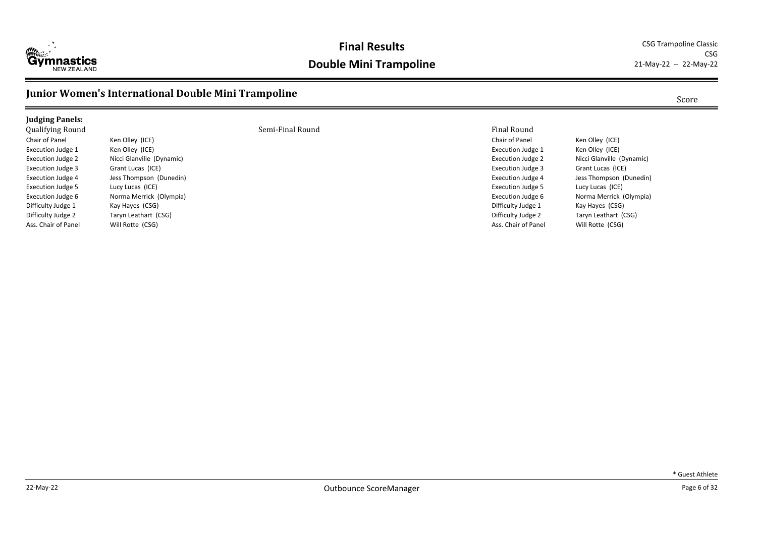

CSG<br>21-May-22 -- 22-May-22

## **Junior Women's International Double Mini Trampoline** Score Score Score Score

| <b>Judging Panels:</b>   |                           |                  |                          |                           |
|--------------------------|---------------------------|------------------|--------------------------|---------------------------|
| Qualifying Round         |                           | Semi-Final Round | Final Round              |                           |
| Chair of Panel           | Ken Olley (ICE)           |                  | Chair of Panel           | Ken Olley (ICE)           |
| <b>Execution Judge 1</b> | Ken Olley (ICE)           |                  | Execution Judge 1        | Ken Olley (ICE)           |
| Execution Judge 2        | Nicci Glanville (Dynamic) |                  | Execution Judge 2        | Nicci Glanville (Dynamic) |
| Execution Judge 3        | Grant Lucas (ICE)         |                  | <b>Execution Judge 3</b> | Grant Lucas (ICE)         |
| Execution Judge 4        | Jess Thompson (Dunedin)   |                  | Execution Judge 4        | Jess Thompson (Dunedin)   |
| <b>Execution Judge 5</b> | Lucy Lucas (ICE)          |                  | <b>Execution Judge 5</b> | Lucy Lucas (ICE)          |
| Execution Judge 6        | Norma Merrick (Olympia)   |                  | Execution Judge 6        | Norma Merrick (Olympia)   |
| Difficulty Judge 1       | Kay Hayes (CSG)           |                  | Difficulty Judge 1       | Kay Hayes (CSG)           |
| Difficulty Judge 2       | Taryn Leathart (CSG)      |                  | Difficulty Judge 2       | Taryn Leathart (CSG)      |
| Ass. Chair of Panel      | Will Rotte (CSG)          |                  | Ass. Chair of Panel      | Will Rotte (CSG)          |
|                          |                           |                  |                          |                           |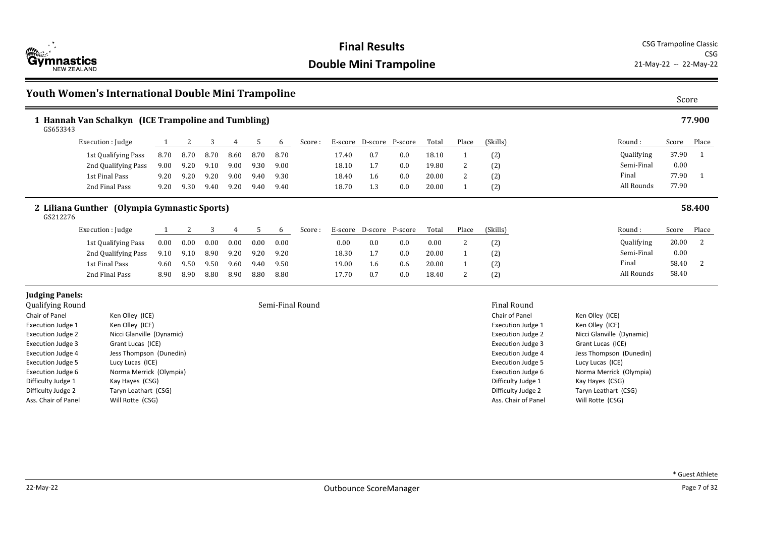

## **Youth Women's International Double Mini Trampoline** Score Score Score Score

| GS653343                                    | 1 Hannah Van Schalkyn (ICE Trampoline and Tumbling) |      |      |      |      |      |      |                  |       |                 |         |       |                |                          |                   |                           |       | 77.900         |
|---------------------------------------------|-----------------------------------------------------|------|------|------|------|------|------|------------------|-------|-----------------|---------|-------|----------------|--------------------------|-------------------|---------------------------|-------|----------------|
|                                             | Execution : Judge                                   |      | 2    | 3    | 4    | 5    | 6    | Score :          |       | E-score D-score | P-score | Total | Place          | (Skills)                 |                   | Round:                    | Score | Place          |
|                                             | 1st Qualifying Pass                                 | 8.70 | 8.70 | 8.70 | 8.60 | 8.70 | 8.70 |                  | 17.40 | 0.7             | 0.0     | 18.10 | 1              | (2)                      |                   | Qualifying                | 37.90 | $\overline{1}$ |
|                                             | 2nd Qualifying Pass                                 | 9.00 | 9.20 | 9.10 | 9.00 | 9.30 | 9.00 |                  | 18.10 | 1.7             | 0.0     | 19.80 | $\overline{c}$ | (2)                      |                   | Semi-Final                | 0.00  |                |
|                                             | 1st Final Pass                                      | 9.20 | 9.20 | 9.20 | 9.00 | 9.40 | 9.30 |                  | 18.40 | 1.6             | 0.0     | 20.00 | $\overline{c}$ | (2)                      |                   | Final                     | 77.90 |                |
|                                             | 2nd Final Pass                                      | 9.20 | 9.30 | 9.40 | 9.20 | 9.40 | 9.40 |                  | 18.70 | 1.3             | 0.0     | 20.00 |                | (2)                      |                   | All Rounds                | 77.90 |                |
| GS212276                                    | 2 Liliana Gunther (Olympia Gymnastic Sports)        |      |      |      |      |      |      |                  |       |                 |         |       |                |                          |                   |                           |       | 58.400         |
|                                             | Execution : Judge                                   |      | 2    | 3    | 4    | 5    | 6    | Score:           |       | E-score D-score | P-score | Total | Place          | (Skills)                 |                   | Round:                    | Score | Place          |
|                                             | 1st Qualifying Pass                                 | 0.00 | 0.00 | 0.00 | 0.00 | 0.00 | 0.00 |                  | 0.00  | 0.0             | 0.0     | 0.00  | 2              | (2)                      |                   | Qualifying                | 20.00 | 2              |
|                                             | 2nd Qualifying Pass                                 | 9.10 | 9.10 | 8.90 | 9.20 | 9.20 | 9.20 |                  | 18.30 | 1.7             | 0.0     | 20.00 | 1              | (2)                      |                   | Semi-Final                | 0.00  |                |
|                                             | 1st Final Pass                                      | 9.60 | 9.50 | 9.50 | 9.60 | 9.40 | 9.50 |                  | 19.00 | 1.6             | 0.6     | 20.00 |                | (2)                      |                   | Final                     | 58.40 | 2              |
|                                             | 2nd Final Pass                                      | 8.90 | 8.90 | 8.80 | 8.90 | 8.80 | 8.80 |                  | 17.70 | 0.7             | 0.0     | 18.40 | $\overline{2}$ | (2)                      |                   | All Rounds                | 58.40 |                |
| <b>Judging Panels:</b>                      |                                                     |      |      |      |      |      |      |                  |       |                 |         |       |                |                          |                   |                           |       |                |
| Qualifying Round                            |                                                     |      |      |      |      |      |      | Semi-Final Round |       |                 |         |       |                | <b>Final Round</b>       |                   |                           |       |                |
| Chair of Panel                              | Ken Olley (ICE)                                     |      |      |      |      |      |      |                  |       |                 |         |       |                | Chair of Panel           | Ken Olley (ICE)   |                           |       |                |
| Ken Olley (ICE)<br><b>Execution Judge 1</b> |                                                     |      |      |      |      |      |      |                  |       |                 |         |       |                | <b>Execution Judge 1</b> | Ken Olley (ICE)   |                           |       |                |
| <b>Execution Judge 2</b>                    | Nicci Glanville (Dynamic)                           |      |      |      |      |      |      |                  |       |                 |         |       |                | <b>Execution Judge 2</b> |                   | Nicci Glanville (Dynamic) |       |                |
| <b>Execution Judge 3</b>                    | Grant Lucas (ICE)                                   |      |      |      |      |      |      |                  |       |                 |         |       |                | <b>Execution Judge 3</b> | Grant Lucas (ICE) |                           |       |                |
| <b>Execution Judge 4</b>                    | Jess Thompson (Dunedin)                             |      |      |      |      |      |      |                  |       |                 |         |       |                | <b>Execution Judge 4</b> |                   | Jess Thompson (Dunedin)   |       |                |
| <b>Execution Judge 5</b>                    | Lucy Lucas (ICE)                                    |      |      |      |      |      |      |                  |       |                 |         |       |                | <b>Execution Judge 5</b> | Lucy Lucas (ICE)  |                           |       |                |
| <b>Execution Judge 6</b>                    | Norma Merrick (Olympia)                             |      |      |      |      |      |      |                  |       |                 |         |       |                | Execution Judge 6        |                   | Norma Merrick (Olympia)   |       |                |

Difficulty Judge 1 Kay Hayes (CSG) Difficulty Judge 2 Taryn Leathart (CSG) Ass. Chair of Panel Will Rotte (CSG)

Difficulty Judge 1 Kay Hayes (CSG) Difficulty Judge 2 Taryn Leathart (CSG) Ass. Chair of Panel Will Rotte (CSG)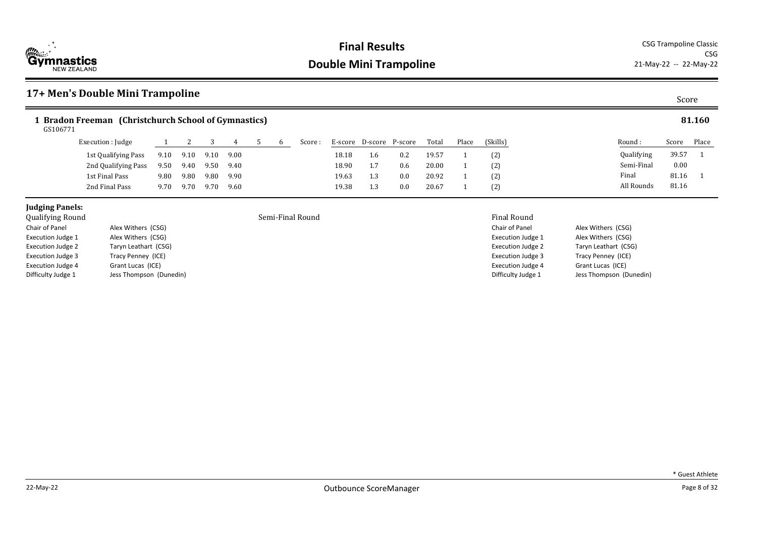

## **17+ Men's Double Mini Trampoline** Score

### **1 Bradon Freeman (Christchurch School of Gymnastics) 81.160** GS106771

| Execution : Judge   |      |      |      |      |  | Score : | E-score | D-score | P-score | Total | Place | (Skills) |
|---------------------|------|------|------|------|--|---------|---------|---------|---------|-------|-------|----------|
| 1st Qualifying Pass | 9.10 | 9.10 | 9.10 | 9.00 |  |         | 18.18   | 1.6     | 0.2     | 19.57 |       | (2)      |
| 2nd Qualifying Pass | 9.50 | 9.40 | 9.50 | 9.40 |  |         | 18.90   | 1.7     | 0.6     | 20.00 |       | (2)      |
| 1st Final Pass      | 9.80 | 9.80 | 9.80 | 9.90 |  |         | 19.63   | 1.3     | 0.0     | 20.92 |       | (2)      |
| 2nd Final Pass      | 9.70 | 9.70 | 9.70 | 9.60 |  |         | 19.38   | 1.3     | 0.0     | 20.67 |       | (2)      |

### **Judging Panels:**

| Qualitying Kounu         |                         |
|--------------------------|-------------------------|
| Chair of Panel           | Alex Withers (CSG)      |
| <b>Execution Judge 1</b> | Alex Withers (CSG)      |
| <b>Execution Judge 2</b> | Taryn Leathart (CSG)    |
| <b>Execution Judge 3</b> | Tracy Penney (ICE)      |
| <b>Execution Judge 4</b> | Grant Lucas (ICE)       |
| Difficulty Judge 1       | Jess Thompson (Dunedin) |

Semi-Final Round **Semi-Final Round Final Round** 

| Chair of Panel           | Alex Withers (CSG)      |
|--------------------------|-------------------------|
| <b>Execution Judge 1</b> | Alex Withers (CSG)      |
| <b>Execution Judge 2</b> | Taryn Leathart (CSG)    |
| <b>Execution Judge 3</b> | Tracy Penney (ICE)      |
| <b>Execution Judge 4</b> | Grant Lucas (ICE)       |
| Difficulty Judge 1       | Jess Thompson (Dunedin) |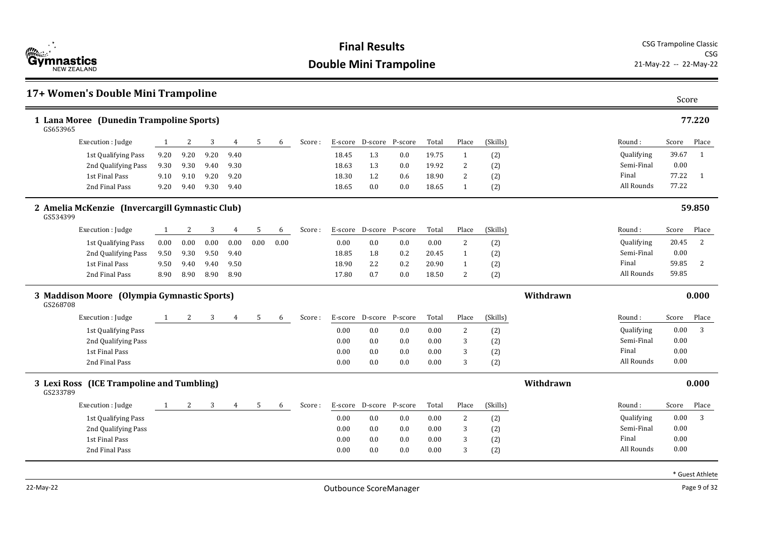

### **17+ Women's Double Mini Trampoline** Score **1 Lana Moree (Dunedin Trampoline Sports) 77.220** Round : Qualifying Semi-Final Final All Rounds Score Place 39.67 1 0.00 77.22 1 GS653965 77.22 Execution : Iudge 1 2 3 4 5 6 Score : E-score D-score P-score Total Place (Skills) 1st Qualifying Pass 9.20 9.20 9.20 9.40 18.45 1.3 0.0 19.75 1 (2) 2nd Oualifying Pass 9.30 9.30 9.40 9.30 18.63 1.3 0.0 19.92 2 (2) 1st Final Pass 9.10 9.10 9.20 9.20 18.30 1.2 0.6 18.90 2 (2) 2nd Final Pass 9.20 9.40 9.30 9.40 18.65 0.0 0.0 18.65 1 (2) **2 Amelia McKenzie (Invercargill Gymnastic Club) 59.850** Round : Qualifying Semi-Final Final All Rounds Score Place 20.45 2 0.00 59.85 2 GS534399 59.85 Execution : Judge 1 2 3 4 5 6 Score : E-score D-score P-score Total Place (Skills) 1st Qualifying Pass 0.00 0.00 0.00 0.00 0.00 0.00 0.00 0.0 0.0 0.00 2 (2) 2nd Qualifying Pass 9.50 9.30 9.50 9.40 18.85 1.8 0.2 20.45 1 (2) 1st Final Pass 9.50 9.40 9.40 9.50 18.90 2.2 0.2 20.90 1 (2) 2nd Final Pass 8.90 8.90 8.90 8.90 17.80 0.7 0.0 18.50 2 (2) **3 Maddison Moore (Olympia Gymnastic Sports) Withdrawn 0.000** Round : Qualifying Semi-Final Final All Rounds Score Place 0.00 3 0.00 0.00 GS268708 0.00 Execution : Judge 1 2 3 4 5 6 Score : E-score D-score P-score Total Place (Skills) 1st Qualifying Pass 0.00 0.0 0.0 0.00 2 (2) 2nd Qualifying Pass 0.00 0.0 0.0 0.00 3 (2) 1st Final Pass 0.00 0.0 0.0 0.00 3 (2) 2nd Final Pass 0.00 0.0 0.0 0.00 3 (2) **3 Lexi Ross (ICE Trampoline and Tumbling) Withdrawn 0.000** Round : Qualifying Semi-Final Final All Rounds Score Place 0.00 3 0.00 0.00 GS233789 0.00 Execution : Iudge 1 2 3 4 5 6 Score : E-score D-score P-score Total Place (Skills) 1st Qualifying Pass 0.00 0.0 0.0 0.00 2 (2) 2nd Qualifying Pass 0.00 0.0 0.0 0.00 3 (2) 1st Final Pass 0.00 0.0 0.0 0.00 3 (2) 2nd Final Pass 0.00 0.0 0.0 0.00 3 (2)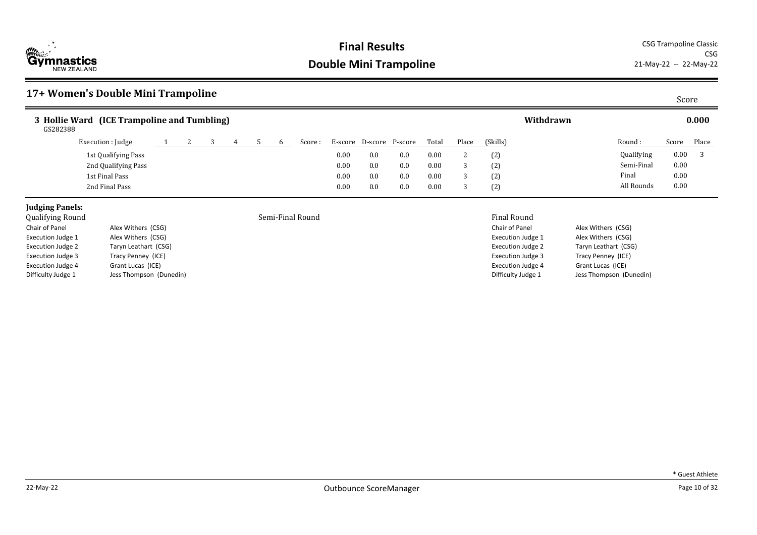

CSG<br>21-May-22 -- 22-May-22

## **17+ Women's Double Mini Trampoline** Score

| 3 Hollie Ward (ICE Trampoline and Tumbling)<br>GS282388 |  |  |  |         |      |                 |         |          |       |            | Withdrawn |            |       | 0.000 |
|---------------------------------------------------------|--|--|--|---------|------|-----------------|---------|----------|-------|------------|-----------|------------|-------|-------|
| Execution : Judge                                       |  |  |  | Score : |      | E-score D-score | P-score | Total    | Place | (Skills)   |           | Round:     | Score | Place |
| 1st Qualifying Pass                                     |  |  |  |         | 0.00 | 0.0             | 0.0     | 0.00     |       | (2)        |           | Qualifying | 0.00  |       |
| 2nd Qualifying Pass                                     |  |  |  |         | 0.00 | 0.0             | 0.0     | 0.00     |       | (2)<br>(2) |           | Semi-Final | 0.00  |       |
| 1st Final Pass                                          |  |  |  |         | 0.00 | 0.0             | 0.0     | $0.00\,$ |       | (2)<br>(4) |           | Final      | 0.00  |       |
| 2nd Final Pass                                          |  |  |  |         | 0.00 | 0.0             | 0.0     | 0.00     |       | (2)        |           | All Rounds | 0.00  |       |

## **Judging Panels:**<br>Qualifying Round

| Qualitying Kounu         |                         |
|--------------------------|-------------------------|
| Chair of Panel           | Alex Withers (CSG)      |
| <b>Execution Judge 1</b> | Alex Withers (CSG)      |
| <b>Execution Judge 2</b> | Taryn Leathart (CSG)    |
| <b>Execution Judge 3</b> | Tracy Penney (ICE)      |
| <b>Execution Judge 4</b> | Grant Lucas (ICE)       |
| Difficulty Judge 1       | Jess Thompson (Dunedin) |

Semi-Final Round **Semi-Final Round Semi-Final Round** 

| Chair of Panel           | Alex Withers (CSG)      |
|--------------------------|-------------------------|
| <b>Execution Judge 1</b> | Alex Withers (CSG)      |
| <b>Execution Judge 2</b> | Taryn Leathart (CSG)    |
| <b>Execution Judge 3</b> | Tracy Penney (ICE)      |
| <b>Execution Judge 4</b> | Grant Lucas (ICE)       |
| Difficulty Judge 1       | Jess Thompson (Dunedin) |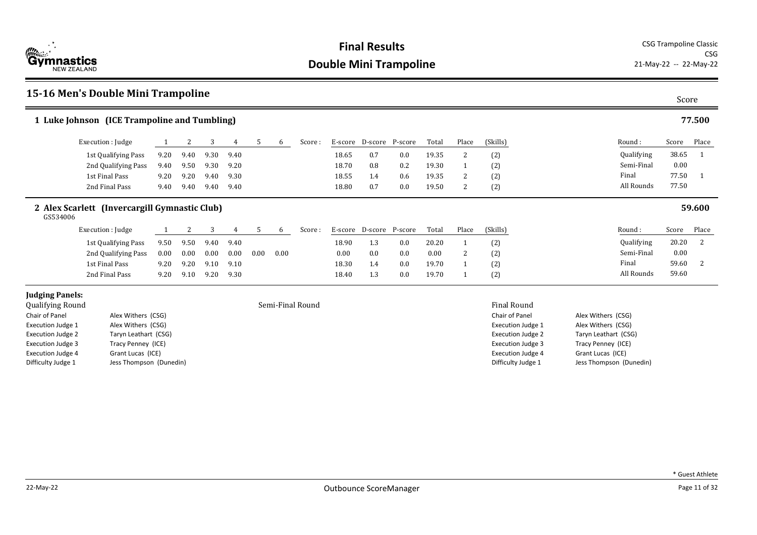

## **15-16 Men's Double Mini Trampoline** Score

Execution Judge 2 Taryn Leathart (CSG) Execution Judge 3 Tracy Penney (ICE) Execution Judge 4 Grant Lucas (ICE) Difficulty Judge 1 Jess Thompson (Dunedin)

|                          | 1 Luke Johnson (ICE Trampoline and Tumbling)  |      |      |      |      |      |          |                  |       |                         |     |       |                |                          |                    |       | 77.500 |
|--------------------------|-----------------------------------------------|------|------|------|------|------|----------|------------------|-------|-------------------------|-----|-------|----------------|--------------------------|--------------------|-------|--------|
|                          | Execution : Judge                             |      | 2    | 3    | 4    | 5    | 6        | Score:           |       | E-score D-score P-score |     | Total | Place          | (Skills)                 | Round :            | Score | Place  |
|                          | 1st Qualifying Pass                           | 9.20 | 9.40 | 9.30 | 9.40 |      |          |                  | 18.65 | 0.7                     | 0.0 | 19.35 | 2              | (2)                      | Qualifying         | 38.65 |        |
|                          | 2nd Qualifying Pass                           | 9.40 | 9.50 | 9.30 | 9.20 |      |          |                  | 18.70 | 0.8                     | 0.2 | 19.30 |                | (2)                      | Semi-Final         | 0.00  |        |
|                          | 1st Final Pass                                | 9.20 | 9.20 | 9.40 | 9.30 |      |          |                  | 18.55 | 1.4                     | 0.6 | 19.35 | 2              | (2)                      | Final              | 77.50 |        |
|                          | 2nd Final Pass                                | 9.40 | 9.40 | 9.40 | 9.40 |      |          |                  | 18.80 | 0.7                     | 0.0 | 19.50 | $\overline{2}$ | (2)                      | All Rounds         | 77.50 |        |
| GS534006                 | 2 Alex Scarlett (Invercargill Gymnastic Club) |      |      |      |      |      |          |                  |       |                         |     |       |                |                          |                    |       | 59.600 |
|                          | Execution : Judge                             |      | 2    | 3    | 4    | 5    | 6        | Score:           |       | E-score D-score P-score |     | Total | Place          | (Skills)                 | Round :            | Score | Place  |
|                          | 1st Qualifying Pass                           | 9.50 | 9.50 | 9.40 | 9.40 |      |          |                  | 18.90 | 1.3                     | 0.0 | 20.20 |                | (2)                      | Qualifying         | 20.20 | 2      |
|                          | 2nd Qualifying Pass                           | 0.00 | 0.00 | 0.00 | 0.00 | 0.00 | $0.00\,$ |                  | 0.00  | 0.0                     | 0.0 | 0.00  | 2              | (2)                      | Semi-Final         | 0.00  |        |
|                          | 1st Final Pass                                | 9.20 | 9.20 | 9.10 | 9.10 |      |          |                  | 18.30 | 1.4                     | 0.0 | 19.70 |                | (2)                      | Final              | 59.60 | 2      |
|                          | 2nd Final Pass                                | 9.20 | 9.10 | 9.20 | 9.30 |      |          |                  | 18.40 | 1.3                     | 0.0 | 19.70 |                | (2)                      | All Rounds         | 59.60 |        |
| <b>Judging Panels:</b>   |                                               |      |      |      |      |      |          |                  |       |                         |     |       |                |                          |                    |       |        |
| Qualifying Round         |                                               |      |      |      |      |      |          | Semi-Final Round |       |                         |     |       |                | <b>Final Round</b>       |                    |       |        |
| Chair of Panel           | Alex Withers (CSG)                            |      |      |      |      |      |          |                  |       |                         |     |       |                | Chair of Panel           | Alex Withers (CSG) |       |        |
| <b>Execution Judge 1</b> | Alex Withers (CSG)                            |      |      |      |      |      |          |                  |       |                         |     |       |                | <b>Execution Judge 1</b> | Alex Withers (CSG) |       |        |

Execution Judge 2 Taryn Leathart (CSG) Execution Judge 3 Tracy Penney (ICE) Execution Judge 4 Grant Lucas (ICE) Difficulty Judge 1 Jess Thompson (Dunedin)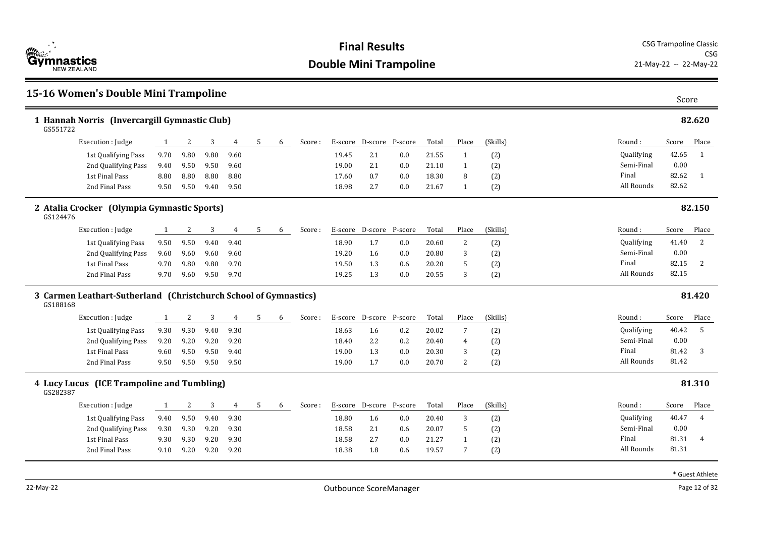

### **15-16 Women's Double Mini Trampoline** Score **1 Hannah Norris (Invercargill Gymnastic Club) 82.620** Round : Qualifying Semi-Final Final All Rounds Score Place 42.65 1 0.00 82.62 1 GS551722 82.62 Execution : Judge 1 2 3 4 5 6 Score : E-score D-score P-score Total Place (Skills) 1st Qualifying Pass 9.70 9.80 9.80 9.60 19.45 2.1 0.0 21.55 1 (2) 2nd Oualifying Pass 9.40 9.50 9.50 9.60 19.00 2.1 0.0 21.10 1 (2) 1st Final Pass 8.80 8.80 8.80 8.80 17.60 0.7 0.0 18.30 8 (2) 2nd Final Pass 9.50 9.50 9.40 9.50 18.98 2.7 0.0 21.67 1 (2) **2 Atalia Crocker (Olympia Gymnastic Sports) 82.150** Round : Qualifying Semi-Final Final All Rounds Score Place 41.40 2 0.00 82.15 2 GS124476 82.15 Execution : Judge 1 2 3 4 5 6 Score : E-score D-score P-score Total Place (Skills) 1st Qualifying Pass 9.50 9.50 9.40 9.40 18.90 1.7 0.0 20.60 2 (2) 2nd Qualifying Pass 9.60 9.60 9.60 9.60 19.20 1.6 0.0 20.80 3 (2) 1st Final Pass 9.70 9.80 9.80 9.70 19.50 1.3 0.6 20.20 5 (2) 2nd Final Pass 9.70 9.60 9.50 9.70 19.25 1.3 0.0 20.55 3 (2) **3 Carmen Leathart-Sutherland (Christchurch School of Gymnastics) 81.420** Round : Qualifying Semi-Final Final All Rounds Score Place 40.42 5 0.00 81.42 3 GS188168 81.42 Execution : Judge 1 2 3 4 5 6 Score : E-score D-score P-score Total Place (Skills) 1st Qualifying Pass 9.30 9.30 9.40 9.30 18.63 1.6 0.2 20.02 7 (2) 2nd Qualifying Pass 9.20 9.20 9.20 9.20 18.40 2.2 0.2 20.40 4 (2) 1st Final Pass 9.60 9.50 9.50 9.40 19.00 1.3 0.0 20.30 3 (2) 2nd Final Pass 9.50 9.50 9.50 9.50 19.00 1.7 0.0 20.70 2 (2) **4 Lucy Lucus (ICE Trampoline and Tumbling) 81.310** Round : Qualifying Semi-Final Final All Rounds Score Place 40.47 4 0.00 81.31 4 GS282387 81.31 Execution : Iudge 1 2 3 4 5 6 Score : E-score D-score P-score Total Place (Skills) 1st Qualifying Pass 9.40 9.50 9.40 9.30 18.80 1.6 0.0 20.40 3 (2) 2nd Qualifying Pass 9.30 9.30 9.20 9.30 18.58 2.1 0.6 20.07 5 (2) 1st Final Pass 9.30 9.30 9.20 9.30 18.58 2.7 0.0 21.27 1 (2) 2nd Final Pass 9.10 9.20 9.20 9.20 18.38 1.8 0.6 19.57 7 (2)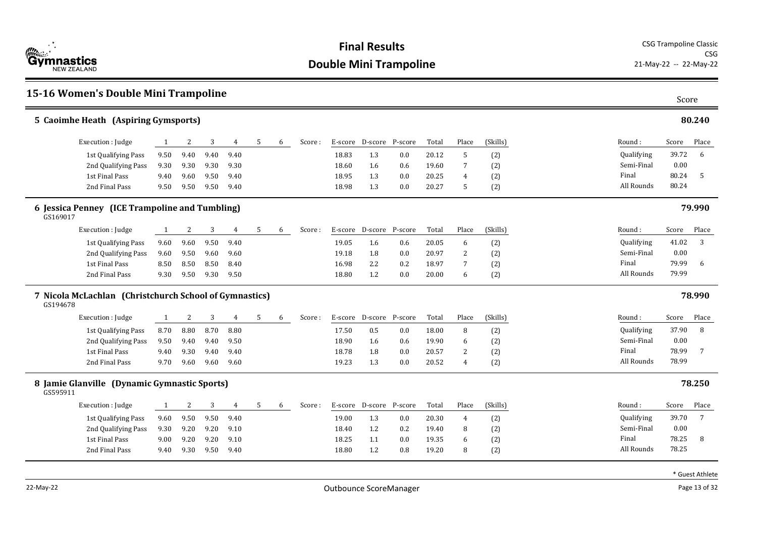

| 15-16 Women's Double Mini Trampoline                               |      |      |      |      |   |   |        |         |                         |         |       |                |          |            | Score |        |
|--------------------------------------------------------------------|------|------|------|------|---|---|--------|---------|-------------------------|---------|-------|----------------|----------|------------|-------|--------|
| 5 Caoimhe Heath (Aspiring Gymsports)                               |      |      |      |      |   |   |        |         |                         |         |       |                |          |            |       | 80.240 |
| Execution : Judge                                                  | 1    | 2    | 3    | 4    | 5 | 6 | Score: | E-score | D-score P-score         |         | Total | Place          | (Skills) | Round:     | Score | Place  |
| 1st Qualifying Pass                                                | 9.50 | 9.40 | 9.40 | 9.40 |   |   |        | 18.83   | 1.3                     | 0.0     | 20.12 | 5              | (2)      | Qualifying | 39.72 | 6      |
| 2nd Qualifying Pass                                                | 9.30 | 9.30 | 9.30 | 9.30 |   |   |        | 18.60   | 1.6                     | 0.6     | 19.60 | 7              | (2)      | Semi-Final | 0.00  |        |
| 1st Final Pass                                                     | 9.40 | 9.60 | 9.50 | 9.40 |   |   |        | 18.95   | 1.3                     | 0.0     | 20.25 | 4              | (2)      | Final      | 80.24 | -5     |
| 2nd Final Pass                                                     | 9.50 | 9.50 | 9.50 | 9.40 |   |   |        | 18.98   | 1.3                     | 0.0     | 20.27 | 5              | (2)      | All Rounds | 80.24 |        |
| 6 Jessica Penney (ICE Trampoline and Tumbling)<br>GS169017         |      |      |      |      |   |   |        |         |                         |         |       |                |          |            |       | 79.990 |
| Execution : Judge                                                  | 1    | 2    | 3    | 4    | 5 | 6 | Score: |         | E-score D-score P-score |         | Total | Place          | (Skills) | Round:     | Score | Place  |
| 1st Qualifying Pass                                                | 9.60 | 9.60 | 9.50 | 9.40 |   |   |        | 19.05   | 1.6                     | 0.6     | 20.05 | 6              | (2)      | Qualifying | 41.02 | 3      |
| 2nd Qualifying Pass                                                | 9.60 | 9.50 | 9.60 | 9.60 |   |   |        | 19.18   | 1.8                     | 0.0     | 20.97 | 2              | (2)      | Semi-Final | 0.00  |        |
| 1st Final Pass                                                     | 8.50 | 8.50 | 8.50 | 8.40 |   |   |        | 16.98   | 2.2                     | 0.2     | 18.97 | 7              | (2)      | Final      | 79.99 | 6      |
| 2nd Final Pass                                                     | 9.30 | 9.50 | 9.30 | 9.50 |   |   |        | 18.80   | 1.2                     | 0.0     | 20.00 | 6              | (2)      | All Rounds | 79.99 |        |
| 7 Nicola McLachlan (Christchurch School of Gymnastics)<br>GS194678 |      |      |      |      |   |   |        |         |                         |         |       |                |          |            |       | 78.990 |
| Execution : Judge                                                  | 1    | 2    | 3    | 4    | 5 | 6 | Score: | E-score | D-score                 | P-score | Total | Place          | (Skills) | Round:     | Score | Place  |
| 1st Qualifying Pass                                                | 8.70 | 8.80 | 8.70 | 8.80 |   |   |        | 17.50   | $0.5\,$                 | 0.0     | 18.00 | 8              | (2)      | Qualifying | 37.90 | 8      |
| 2nd Qualifying Pass                                                | 9.50 | 9.40 | 9.40 | 9.50 |   |   |        | 18.90   | 1.6                     | 0.6     | 19.90 | 6              | (2)      | Semi-Final | 0.00  |        |
| 1st Final Pass                                                     | 9.40 | 9.30 | 9.40 | 9.40 |   |   |        | 18.78   | 1.8                     | 0.0     | 20.57 | 2              | (2)      | Final      | 78.99 | 7      |
| 2nd Final Pass                                                     | 9.70 | 9.60 | 9.60 | 9.60 |   |   |        | 19.23   | 1.3                     | 0.0     | 20.52 | $\overline{4}$ | (2)      | All Rounds | 78.99 |        |
| 8 Jamie Glanville (Dynamic Gymnastic Sports)<br>GS595911           |      |      |      |      |   |   |        |         |                         |         |       |                |          |            |       | 78.250 |
| Execution : Judge                                                  | -1   | 2    | 3    | 4    | 5 | 6 | Score: | E-score | D-score                 | P-score | Total | Place          | (Skills) | Round:     | Score | Place  |
| 1st Qualifying Pass                                                | 9.60 | 9.50 | 9.50 | 9.40 |   |   |        | 19.00   | 1.3                     | 0.0     | 20.30 | 4              | (2)      | Qualifying | 39.70 | 7      |
| 2nd Qualifying Pass                                                | 9.30 | 9.20 | 9.20 | 9.10 |   |   |        | 18.40   | 1.2                     | 0.2     | 19.40 | 8              | (2)      | Semi-Final | 0.00  |        |
| 1st Final Pass                                                     | 9.00 | 9.20 | 9.20 | 9.10 |   |   |        | 18.25   | 1.1                     | 0.0     | 19.35 | 6              | (2)      | Final      | 78.25 | 8      |
| 2nd Final Pass                                                     | 9.40 | 9.30 | 9.50 | 9.40 |   |   |        | 18.80   | 1.2                     | 0.8     | 19.20 | 8              | (2)      | All Rounds | 78.25 |        |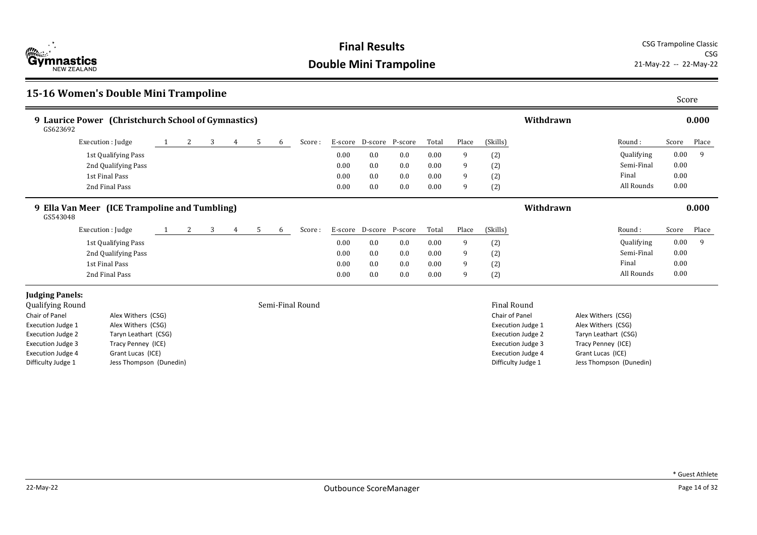

**Final Results** CSG Trampoline Classic CSG<br>21-May-22 -- 22-May-22

## **15-16 Women's Double Mini Trampoline** Score

| 9 Laurice Power (Christchurch School of Gymnastics)<br>GS623692 |                      |                       |   |   |   |   |                  |      |                         |     |       |       |                          | Withdrawn |                      |            |          | 0.000 |
|-----------------------------------------------------------------|----------------------|-----------------------|---|---|---|---|------------------|------|-------------------------|-----|-------|-------|--------------------------|-----------|----------------------|------------|----------|-------|
|                                                                 | Execution : Judge    | $\mathbf{2}$          | 3 | 4 | 5 | 6 | Score:           |      | E-score D-score P-score |     | Total | Place | (Skills)                 |           | Round :              |            | Score    | Place |
|                                                                 | 1st Qualifying Pass  |                       |   |   |   |   |                  | 0.00 | $0.0\,$                 | 0.0 | 0.00  | 9     | (2)                      |           |                      | Qualifying | 0.00     | -9    |
|                                                                 | 2nd Qualifying Pass  |                       |   |   |   |   |                  | 0.00 | 0.0                     | 0.0 | 0.00  | 9     | (2)                      |           |                      | Semi-Final | $0.00\,$ |       |
|                                                                 | 1st Final Pass       |                       |   |   |   |   |                  | 0.00 | 0.0                     | 0.0 | 0.00  | 9     | (2)                      |           | Final                |            | 0.00     |       |
|                                                                 | 2nd Final Pass       |                       |   |   |   |   |                  | 0.00 | 0.0                     | 0.0 | 0.00  | 9     | (2)                      |           |                      | All Rounds | 0.00     |       |
| 9 Ella Van Meer (ICE Trampoline and Tumbling)<br>GS543048       |                      |                       |   |   |   |   |                  |      |                         |     |       |       |                          | Withdrawn |                      |            |          | 0.000 |
|                                                                 | Execution : Judge    | $\mathbf{2}^{\prime}$ | 3 | 4 | 5 | 6 | Score:           |      | E-score D-score P-score |     | Total | Place | (Skills)                 |           | Round:               |            | Score    | Place |
|                                                                 | 1st Qualifying Pass  |                       |   |   |   |   |                  | 0.00 | 0.0                     | 0.0 | 0.00  | 9     | (2)                      |           |                      | Qualifying | 0.00     | 9     |
|                                                                 | 2nd Qualifying Pass  |                       |   |   |   |   |                  | 0.00 | 0.0                     | 0.0 | 0.00  | 9     | (2)                      |           |                      | Semi-Final | 0.00     |       |
|                                                                 | 1st Final Pass       |                       |   |   |   |   |                  | 0.00 | 0.0                     | 0.0 | 0.00  | 9     | (2)                      |           | Final                |            | 0.00     |       |
|                                                                 | 2nd Final Pass       |                       |   |   |   |   |                  | 0.00 | 0.0                     | 0.0 | 0.00  | 9     | (2)                      |           |                      | All Rounds | 0.00     |       |
| <b>Judging Panels:</b>                                          |                      |                       |   |   |   |   |                  |      |                         |     |       |       |                          |           |                      |            |          |       |
| Qualifying Round                                                |                      |                       |   |   |   |   | Semi-Final Round |      |                         |     |       |       | <b>Final Round</b>       |           |                      |            |          |       |
| Chair of Panel                                                  | Alex Withers (CSG)   |                       |   |   |   |   |                  |      |                         |     |       |       | Chair of Panel           |           | Alex Withers (CSG)   |            |          |       |
| Execution Judge 1                                               | Alex Withers (CSG)   |                       |   |   |   |   |                  |      |                         |     |       |       | Execution Judge 1        |           | Alex Withers (CSG)   |            |          |       |
| <b>Execution Judge 2</b>                                        | Taryn Leathart (CSG) |                       |   |   |   |   |                  |      |                         |     |       |       | <b>Execution Judge 2</b> |           | Taryn Leathart (CSG) |            |          |       |
| Execution Judge 3                                               | Tracy Penney (ICE)   |                       |   |   |   |   |                  |      |                         |     |       |       | <b>Execution Judge 3</b> |           | Tracy Penney (ICE)   |            |          |       |

Execution Judge 4 Grant Lucas (ICE) Difficulty Judge 1 Jess Thompson (Dunedin)

Execution Judge 4 Grant Lucas (ICE) Difficulty Judge 1 Jess Thompson (Dunedin)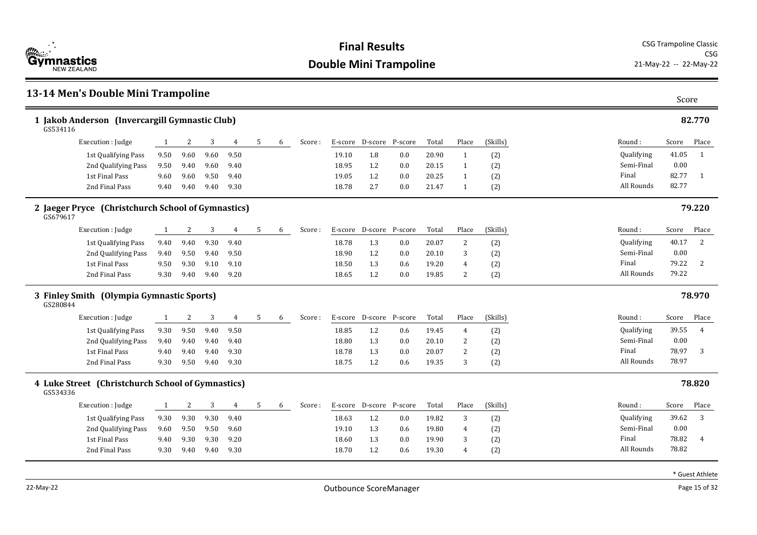

### **13-14 Men's Double Mini Trampoline** Score **1 Jakob Anderson (Invercargill Gymnastic Club) 82.770** Round : Qualifying Semi-Final Final All Rounds Score Place 41.05 1 0.00 82.77 1 GS534116 82.77 Execution : Judge 1 2 3 4 5 6 Score : E-score D-score P-score Total Place (Skills) 1st Qualifying Pass 9.50 9.60 9.60 9.50 1 19.10 1.8 0.0 20.90 1 (2) 2nd Qualifying Pass 9.50 9.40 9.60 9.40 18.95 1.2 0.0 20.15 1 (2) 1st Final Pass 9.60 9.60 9.50 9.40 19.05 1.2 0.0 20.25 1 (2) 2nd Final Pass 9.40 9.40 9.40 9.30 18.78 2.7 0.0 21.47 1 (2) **2 Jaeger Pryce (Christchurch School of Gymnastics) 79.220** Round : Qualifying Semi-Final Final All Rounds Score Place 40.17 2 0.00 79.22 2 GS679617 79.22 Execution : Judge 1 2 3 4 5 6 Score : E-score D-score P-score Total Place (Skills) 1st Qualifying Pass 9.40 9.40 9.30 9.40 18.78 1.3 0.0 20.07 2 (2) 2nd Qualifying Pass 9.40 9.50 9.40 9.50 18.90 1.2 0.0 20.10 3 (2) 1st Final Pass 9.50 9.30 9.10 9.10 18.50 1.3 0.6 19.20 4 (2) 2nd Final Pass 9.30 9.40 9.40 9.20 18.65 1.2 0.0 19.85 2 (2) **3 Finley Smith (Olympia Gymnastic Sports) 78.970** Round : Qualifying Semi-Final Final All Rounds Score Place 39.55 4 0.00 78.97 3 GS280844 78.97 Execution : Judge 1 2 3 4 5 6 Score : E-score D-score P-score Total Place (Skills) 1st Qualifying Pass 9.30 9.50 9.40 9.50 18.85 1.2 0.6 19.45 4 (2) 2nd Qualifying Pass 9.40 9.40 9.40 9.40 18.80 1.3 0.0 20.10 2 (2) 1st Final Pass 9.40 9.40 9.40 9.30 18.78 1.3 0.0 20.07 2 (2) 2nd Final Pass 9.30 9.50 9.40 9.30 18.75 1.2 0.6 19.35 3 (2) **4 Luke Street (Christchurch School of Gymnastics) 78.820** Round : Qualifying Semi-Final Final All Rounds Score Place 39.62 3 0.00 78.82 4 GS534336 78.82 Execution : Iudge 1 2 3 4 5 6 Score : E-score D-score P-score Total Place (Skills) 1st Qualifying Pass 9.30 9.30 9.30 9.40 18.63 1.2 0.0 19.82 3 (2) 2nd Qualifying Pass 9.60 9.50 9.50 9.60 19.10 1.3 0.6 19.80 4 (2) 1st Final Pass 9.40 9.30 9.30 9.20 18.60 1.3 0.0 19.90 3 (2) 2nd Final Pass 9.30 9.40 9.40 9.30 18.70 1.2 0.6 19.30 4 (2)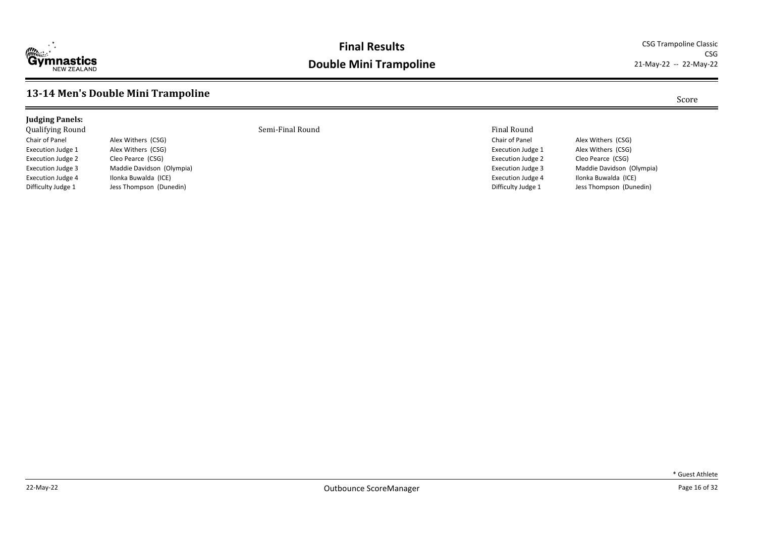

CSG<br>21-May-22 -- 22-May-22

## **13-14 Men's Double Mini Trampoline** Score

| <b>Judging Panels:</b>  |                           |                  |                       |
|-------------------------|---------------------------|------------------|-----------------------|
| <b>Qualifying Round</b> |                           | Semi-Final Round | <b>Final Round</b>    |
| Chair of Panel          | Alex Withers (CSG)        |                  | Chair of Panel        |
| Execution Judge 1       | Alex Withers (CSG)        |                  | <b>Execution Judg</b> |
| Execution Judge 2       | Cleo Pearce (CSG)         |                  | <b>Execution Judg</b> |
| Execution Judge 3       | Maddie Davidson (Olympia) |                  | <b>Execution Judg</b> |
| Execution Judge 4       | Ilonka Buwalda (ICE)      |                  | <b>Execution Judg</b> |

Difficulty Judge 1 Jess Thompson (Dunedin)

Chair of Panel Alex Withers (CSG) Execution Judge 1 Alex Withers (CSG) Execution Judge 2 Cleo Pearce (CSG) Execution Judge 3 Maddie Davidson (Olympia) Execution Judge 4 Ilonka Buwalda (ICE) Difficulty Judge 1 Jess Thompson (Dunedin)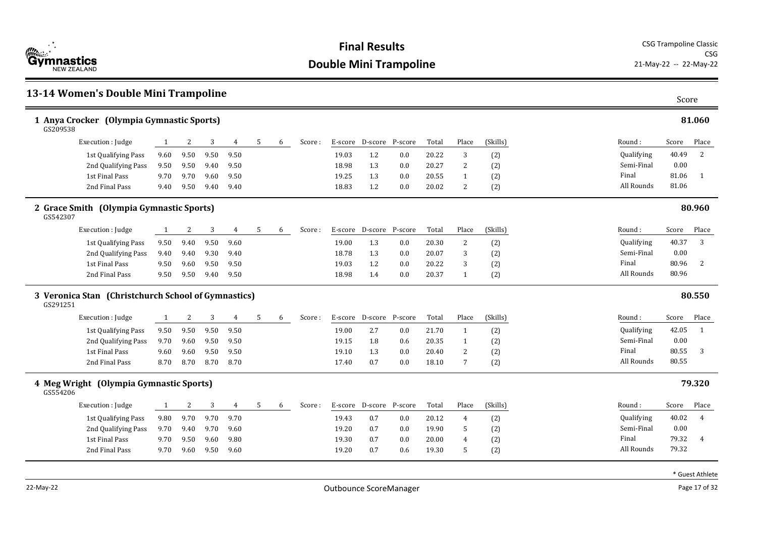

| 13-14 Women's Double Mini Trampoline                            |      |      |      |      |   |   |        |         |                 |                 |       |                |          |            | Score |                |
|-----------------------------------------------------------------|------|------|------|------|---|---|--------|---------|-----------------|-----------------|-------|----------------|----------|------------|-------|----------------|
| 1 Anya Crocker (Olympia Gymnastic Sports)<br>GS209538           |      |      |      |      |   |   |        |         |                 |                 |       |                |          |            |       | 81.060         |
| Execution : Judge                                               | 1    | 2    | 3    | 4    | 5 | 6 | Score: | E-score | D-score         | P-score         | Total | Place          | (Skills) | Round:     | Score | Place          |
| 1st Qualifying Pass                                             | 9.60 | 9.50 | 9.50 | 9.50 |   |   |        | 19.03   | 1.2             | 0.0             | 20.22 | 3              | (2)      | Qualifying | 40.49 | 2              |
| 2nd Qualifying Pass                                             | 9.50 | 9.50 | 9.40 | 9.50 |   |   |        | 18.98   | 1.3             | 0.0             | 20.27 | 2              | (2)      | Semi-Final | 0.00  |                |
| 1st Final Pass                                                  | 9.70 | 9.70 | 9.60 | 9.50 |   |   |        | 19.25   | 1.3             | 0.0             | 20.55 | $\mathbf{1}$   | (2)      | Final      | 81.06 | -1             |
| 2nd Final Pass                                                  | 9.40 | 9.50 | 9.40 | 9.40 |   |   |        | 18.83   | 1.2             | 0.0             | 20.02 | $\overline{2}$ | (2)      | All Rounds | 81.06 |                |
| 2 Grace Smith (Olympia Gymnastic Sports)<br>GS542307            |      |      |      |      |   |   |        |         |                 |                 |       |                |          |            |       | 80.960         |
| Execution : Judge                                               | 1    | 2    | 3    | 4    | 5 | 6 | Score: | E-score | D-score P-score |                 | Total | Place          | (Skills) | Round:     | Score | Place          |
| 1st Qualifying Pass                                             | 9.50 | 9.40 | 9.50 | 9.60 |   |   |        | 19.00   | 1.3             | 0.0             | 20.30 | $\overline{c}$ | (2)      | Qualifying | 40.37 | 3              |
| 2nd Qualifying Pass                                             | 9.40 | 9.40 | 9.30 | 9.40 |   |   |        | 18.78   | 1.3             | 0.0             | 20.07 | 3              | (2)      | Semi-Final | 0.00  |                |
| 1st Final Pass                                                  | 9.50 | 9.60 | 9.50 | 9.50 |   |   |        | 19.03   | 1.2             | 0.0             | 20.22 | 3              | (2)      | Final      | 80.96 | 2              |
| 2nd Final Pass                                                  | 9.50 | 9.50 | 9.40 | 9.50 |   |   |        | 18.98   | 1.4             | 0.0             | 20.37 | 1              | (2)      | All Rounds | 80.96 |                |
| 3 Veronica Stan (Christchurch School of Gymnastics)<br>GS291251 |      |      |      |      |   |   |        |         |                 |                 |       |                |          |            |       | 80.550         |
| Execution : Judge                                               | 1    | 2    | 3    | 4    | 5 | 6 | Score: | E-score | D-score         | P-score         | Total | Place          | (Skills) | Round:     | Score | Place          |
| 1st Qualifying Pass                                             | 9.50 | 9.50 | 9.50 | 9.50 |   |   |        | 19.00   | 2.7             | 0.0             | 21.70 | $\mathbf{1}$   | (2)      | Qualifying | 42.05 | $\overline{1}$ |
| 2nd Qualifying Pass                                             | 9.70 | 9.60 | 9.50 | 9.50 |   |   |        | 19.15   | 1.8             | 0.6             | 20.35 | 1              | (2)      | Semi-Final | 0.00  |                |
| 1st Final Pass                                                  | 9.60 | 9.60 | 9.50 | 9.50 |   |   |        | 19.10   | 1.3             | 0.0             | 20.40 | 2              | (2)      | Final      | 80.55 | 3              |
| 2nd Final Pass                                                  | 8.70 | 8.70 | 8.70 | 8.70 |   |   |        | 17.40   | 0.7             | 0.0             | 18.10 | 7              | (2)      | All Rounds | 80.55 |                |
| 4 Meg Wright (Olympia Gymnastic Sports)<br>GS554206             |      |      |      |      |   |   |        |         |                 |                 |       |                |          |            |       | 79.320         |
| Execution : Judge                                               | 1    | 2    | 3    | 4    | 5 | 6 | Score: | E-score |                 | D-score P-score | Total | Place          | (Skills) | Round:     | Score | Place          |
| 1st Qualifying Pass                                             | 9.80 | 9.70 | 9.70 | 9.70 |   |   |        | 19.43   | 0.7             | 0.0             | 20.12 | 4              | (2)      | Qualifying | 40.02 | 4              |
| 2nd Qualifying Pass                                             | 9.70 | 9.40 | 9.70 | 9.60 |   |   |        | 19.20   | 0.7             | 0.0             | 19.90 | 5              | (2)      | Semi-Final | 0.00  |                |
| 1st Final Pass                                                  | 9.70 | 9.50 | 9.60 | 9.80 |   |   |        | 19.30   | 0.7             | 0.0             | 20.00 | 4              | (2)      | Final      | 79.32 | 4              |
| 2nd Final Pass                                                  | 9.70 | 9.60 | 9.50 | 9.60 |   |   |        | 19.20   | 0.7             | 0.6             | 19.30 | 5              | (2)      | All Rounds | 79.32 |                |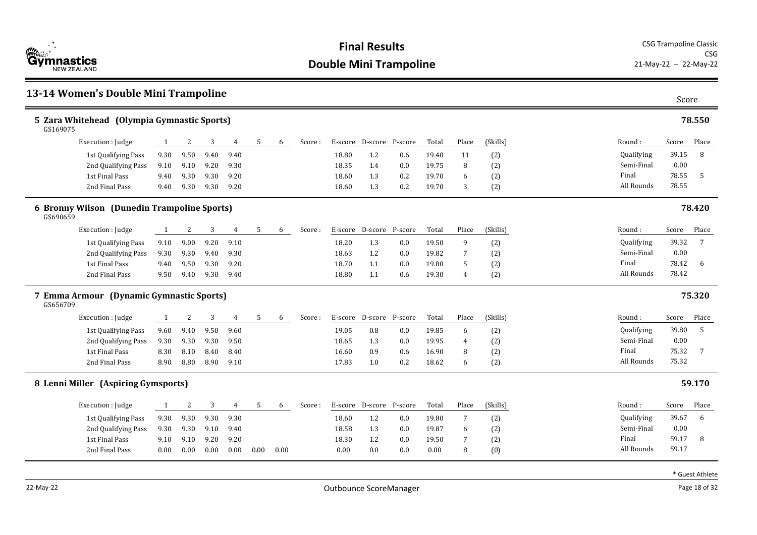

| 13-14 Women's Double Mini Trampoline                    |              |      |      |      |      |      |        |         |                         |                 |       |       |          |            | Score |                 |
|---------------------------------------------------------|--------------|------|------|------|------|------|--------|---------|-------------------------|-----------------|-------|-------|----------|------------|-------|-----------------|
| 5 Zara Whitehead (Olympia Gymnastic Sports)<br>GS169075 |              |      |      |      |      |      |        |         |                         |                 |       |       |          |            |       | 78.550          |
| Execution : Judge                                       | 1            | 2    | 3    | 4    | 5    | 6    | Score: |         | E-score D-score         | P-score         | Total | Place | (Skills) | Round:     | Score | Place           |
| 1st Qualifying Pass                                     | 9.30         | 9.50 | 9.40 | 9.40 |      |      |        | 18.80   | 1.2                     | 0.6             | 19.40 | 11    | (2)      | Qualifying | 39.15 | 8               |
| 2nd Qualifying Pass                                     | 9.10         | 9.10 | 9.20 | 9.30 |      |      |        | 18.35   | 1.4                     | 0.0             | 19.75 | 8     | (2)      | Semi-Final | 0.00  |                 |
| 1st Final Pass                                          | 9.40         | 9.30 | 9.30 | 9.20 |      |      |        | 18.60   | 1.3                     | 0.2             | 19.70 | 6     | (2)      | Final      | 78.55 | -5              |
| 2nd Final Pass                                          | 9.40         | 9.30 | 9.30 | 9.20 |      |      |        | 18.60   | 1.3                     | 0.2             | 19.70 | 3     | (2)      | All Rounds | 78.55 |                 |
| 6 Bronny Wilson (Dunedin Trampoline Sports)<br>GS690659 |              |      |      |      |      |      |        |         |                         |                 |       |       |          |            |       | 78.420          |
| Execution : Judge                                       | <sup>1</sup> | 2    | 3    | 4    | 5    | 6    | Score: | E-score | D-score                 | P-score         | Total | Place | (Skills) | Round:     | Score | Place           |
| 1st Qualifying Pass                                     | 9.10         | 9.00 | 9.20 | 9.10 |      |      |        | 18.20   | 1.3                     | 0.0             | 19.50 | 9     | (2)      | Qualifying | 39.32 | $7\overline{ }$ |
| 2nd Qualifying Pass                                     | 9.30         | 9.30 | 9.40 | 9.30 |      |      |        | 18.63   | 1.2                     | 0.0             | 19.82 | 7     | (2)      | Semi-Final | 0.00  |                 |
| 1st Final Pass                                          | 9.40         | 9.50 | 9.30 | 9.20 |      |      |        | 18.70   | 1.1                     | 0.0             | 19.80 | 5     | (2)      | Final      | 78.42 | 6               |
| 2nd Final Pass                                          | 9.50         | 9.40 | 9.30 | 9.40 |      |      |        | 18.80   | 1.1                     | 0.6             | 19.30 | 4     | (2)      | All Rounds | 78.42 |                 |
| 7 Emma Armour (Dynamic Gymnastic Sports)<br>GS656709    |              |      |      |      |      |      |        |         |                         |                 |       |       |          |            |       | 75.320          |
| Execution : Judge                                       | 1            | 2    | 3    | 4    | 5    | 6    | Score: | E-score |                         | D-score P-score | Total | Place | (Skills) | Round:     | Score | Place           |
| 1st Qualifying Pass                                     | 9.60         | 9.40 | 9.50 | 9.60 |      |      |        | 19.05   | 0.8                     | 0.0             | 19.85 | 6     | (2)      | Qualifying | 39.80 | 5               |
| 2nd Qualifying Pass                                     | 9.30         | 9.30 | 9.30 | 9.50 |      |      |        | 18.65   | 1.3                     | 0.0             | 19.95 | 4     | (2)      | Semi-Final | 0.00  |                 |
| 1st Final Pass                                          | 8.30         | 8.10 | 8.40 | 8.40 |      |      |        | 16.60   | 0.9                     | 0.6             | 16.90 | 8     | (2)      | Final      | 75.32 | 7               |
| 2nd Final Pass                                          | 8.90         | 8.80 | 8.90 | 9.10 |      |      |        | 17.83   | 1.0                     | 0.2             | 18.62 | 6     | (2)      | All Rounds | 75.32 |                 |
| 8 Lenni Miller (Aspiring Gymsports)                     |              |      |      |      |      |      |        |         |                         |                 |       |       |          |            |       | 59.170          |
| Execution : Judge                                       | 1            | 2    | 3    | 4    | 5    | 6    | Score: |         | E-score D-score P-score |                 | Total | Place | (Skills) | Round:     | Score | Place           |
| 1st Qualifying Pass                                     | 9.30         | 9.30 | 9.30 | 9.30 |      |      |        | 18.60   | 1.2                     | 0.0             | 19.80 | 7     | (2)      | Qualifying | 39.67 | 6               |
| 2nd Qualifying Pass                                     | 9.30         | 9.30 | 9.10 | 9.40 |      |      |        | 18.58   | 1.3                     | 0.0             | 19.87 | 6     | (2)      | Semi-Final | 0.00  |                 |
| 1st Final Pass                                          | 9.10         | 9.10 | 9.20 | 9.20 |      |      |        | 18.30   | 1.2                     | 0.0             | 19.50 | 7     | (2)      | Final      | 59.17 | 8               |
| 2nd Final Pass                                          | 0.00         | 0.00 | 0.00 | 0.00 | 0.00 | 0.00 |        | 0.00    | 0.0                     | 0.0             | 0.00  | 8     | (0)      | All Rounds | 59.17 |                 |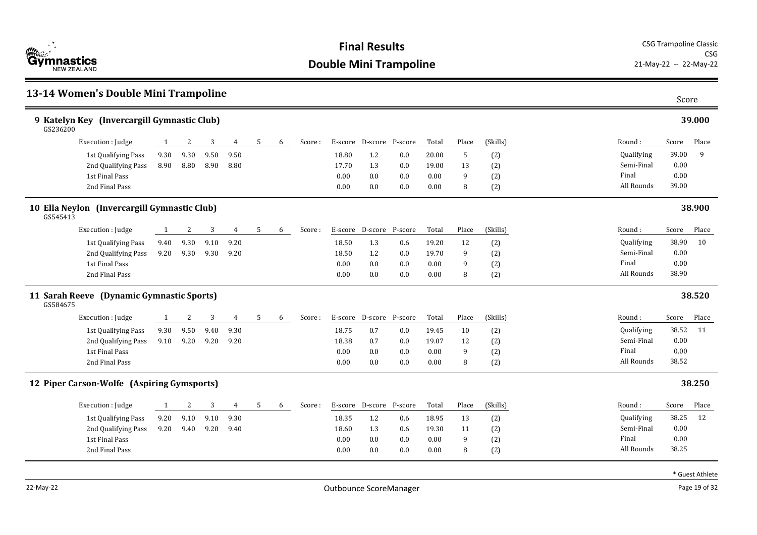

### **13-14 Women's Double Mini Trampoline** Score **9 Katelyn Key (Invercargill Gymnastic Club) 39.000** Round : Qualifying Semi-Final Final All Rounds Score Place 39.00 9 0.00 0.00 GS236200 39.00 Execution : Iudge 1 2 3 4 5 6 Score : E-score D-score P-score Total Place (Skills) 1st Qualifying Pass 9.30 9.30 9.50 9.50 18.80 1.2 0.0 20.00 5 (2) 2nd Qualifying Pass 8.90 8.80 8.90 8.80 17.70 1.3 0.0 19.00 13 (2) 1st Final Pass 0.00 0.0 0.0 0.00 9 (2) 2nd Final Pass 0.00 0.0 0.0 0.00 8 (2) **10 Ella Neylon (Invercargill Gymnastic Club) 38.900** Round : Qualifying Semi-Final Final All Rounds Score Place 38.90 10 0.00 0.00 GS545413 38.90 Execution : Judge 1 2 3 4 5 6 Score : E-score D-score P-score Total Place (Skills) 1st Qualifying Pass 9.40 9.30 9.10 9.20 18.50 1.3 0.6 19.20 12 (2) 2nd Qualifying Pass 9.20 9.30 9.30 9.20 18.50 1.2 0.0 19.70 9 (2) 1st Final Pass 0.00 0.0 0.0 0.00 9 (2) 2nd Final Pass 0.00 0.0 0.0 0.00 8 (2) **11 Sarah Reeve (Dynamic Gymnastic Sports) 38.520** Round : Qualifying Semi-Final Final All Rounds Score Place 38.52 11 0.00 0.00 GS584675 38.52 Execution : Judge 1 2 3 4 5 6 Score : E-score D-score P-score Total Place (Skills) 1st Qualifying Pass 9.30 9.50 9.40 9.30 18.75 0.7 0.0 19.45 10 (2) 2nd Qualifying Pass 9.10 9.20 9.20 9.20 18.38 0.7 0.0 19.07 12 (2) 1st Final Pass 0.00 0.0 0.0 0.00 9 (2) 2nd Final Pass 0.00 0.0 0.0 0.00 8 (2) **12 Piper Carson-Wolfe (Aspiring Gymsports) 38.250** Round : Qualifying Semi-Final Final All Rounds Score Place 38.25 12 0.00 0.00 38.25 Execution : Iudge 1 2 3 4 5 6 Score : E-score D-score P-score Total Place (Skills) 1st Qualifying Pass 9.20 9.10 9.10 9.30 18.35 1.2 0.6 18.95 13 (2) 2nd Qualifying Pass 9.20 9.40 9.20 9.40 18.60 1.3 0.6 19.30 11 (2) 1st Final Pass 0.00 0.0 0.0 0.00 9 (2) 2nd Final Pass 0.00 0.0 0.0 0.00 8 (2)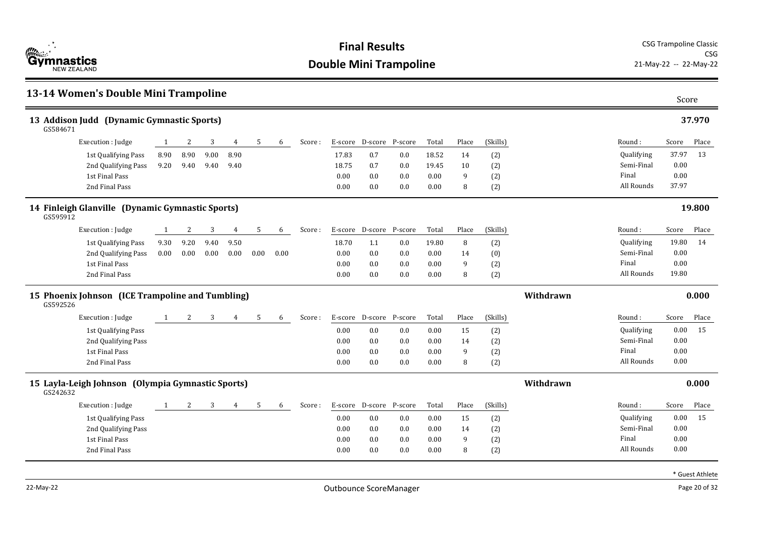

|                                                        | 13-14 Women's Double Mini Trampoline              |                |          |          |      |      |      |        |         |                 |         |       |       |          |           |            | Score |        |
|--------------------------------------------------------|---------------------------------------------------|----------------|----------|----------|------|------|------|--------|---------|-----------------|---------|-------|-------|----------|-----------|------------|-------|--------|
| 13 Addison Judd (Dynamic Gymnastic Sports)<br>GS584671 |                                                   |                |          |          |      |      |      |        |         |                 |         |       |       | 37.970   |           |            |       |        |
|                                                        | Execution : Judge                                 | 1              | 2        | 3        | 4    | 5    | 6    | Score: |         | E-score D-score | P-score | Total | Place | (Skills) |           | Round:     | Score | Place  |
|                                                        | 1st Qualifying Pass                               | 8.90           | 8.90     | 9.00     | 8.90 |      |      |        | 17.83   | 0.7             | 0.0     | 18.52 | 14    | (2)      |           | Qualifying | 37.97 | 13     |
|                                                        | 2nd Qualifying Pass                               | 9.20           | 9.40     | 9.40     | 9.40 |      |      |        | 18.75   | 0.7             | 0.0     | 19.45 | 10    | (2)      |           | Semi-Final | 0.00  |        |
|                                                        | 1st Final Pass                                    |                |          |          |      |      |      |        | 0.00    | 0.0             | 0.0     | 0.00  | 9     | (2)      |           | Final      | 0.00  |        |
|                                                        | 2nd Final Pass                                    |                |          |          |      |      |      |        | 0.00    | 0.0             | 0.0     | 0.00  | 8     | (2)      |           | All Rounds | 37.97 |        |
| GS595912                                               | 14 Finleigh Glanville (Dynamic Gymnastic Sports)  |                |          |          |      |      |      |        |         |                 |         |       |       |          |           |            |       | 19.800 |
|                                                        | Execution : Judge                                 | -1             | 2        | 3        | 4    | 5    | 6    | Score: |         | E-score D-score | P-score | Total | Place | (Skills) |           | Round:     | Score | Place  |
|                                                        | 1st Qualifying Pass                               | 9.30           | 9.20     | 9.40     | 9.50 |      |      |        | 18.70   | 1.1             | 0.0     | 19.80 | 8     | (2)      |           | Qualifying | 19.80 | 14     |
|                                                        | 2nd Qualifying Pass                               | 0.00           | $0.00\,$ | $0.00\,$ | 0.00 | 0.00 | 0.00 |        | 0.00    | 0.0             | 0.0     | 0.00  | 14    | (0)      |           | Semi-Final | 0.00  |        |
|                                                        | 1st Final Pass                                    |                |          |          |      |      |      |        | 0.00    | 0.0             | 0.0     | 0.00  | 9     | (2)      |           | Final      | 0.00  |        |
|                                                        | 2nd Final Pass                                    |                |          |          |      |      |      |        | 0.00    | 0.0             | 0.0     | 0.00  | 8     | (2)      |           | All Rounds | 19.80 |        |
| GS592526                                               | 15 Phoenix Johnson (ICE Trampoline and Tumbling)  |                |          |          |      |      |      |        |         |                 |         |       |       |          | Withdrawn |            |       | 0.000  |
|                                                        | Execution : Judge                                 | 1              | 2        | 3        | 4    | 5    | 6    | Score: | E-score | D-score         | P-score | Total | Place | (Skills) |           | Round:     | Score | Place  |
|                                                        | 1st Qualifying Pass                               |                |          |          |      |      |      |        | 0.00    | 0.0             | 0.0     | 0.00  | 15    | (2)      |           | Qualifying | 0.00  | 15     |
|                                                        | 2nd Qualifying Pass                               |                |          |          |      |      |      |        | 0.00    | 0.0             | 0.0     | 0.00  | 14    | (2)      |           | Semi-Final | 0.00  |        |
|                                                        | 1st Final Pass                                    |                |          |          |      |      |      |        | 0.00    | 0.0             | 0.0     | 0.00  | 9     | (2)      |           | Final      | 0.00  |        |
|                                                        | 2nd Final Pass                                    |                |          |          |      |      |      |        | 0.00    | 0.0             | 0.0     | 0.00  | 8     | (2)      |           | All Rounds | 0.00  |        |
| GS242632                                               | 15 Layla-Leigh Johnson (Olympia Gymnastic Sports) |                |          |          |      |      |      |        |         |                 |         |       |       |          | Withdrawn |            |       | 0.000  |
|                                                        | Execution : Judge                                 | $\overline{1}$ | 2        | 3        | 4    | 5    | 6    | Score: |         | E-score D-score | P-score | Total | Place | (Skills) |           | Round:     | Score | Place  |
|                                                        | 1st Qualifying Pass                               |                |          |          |      |      |      |        | 0.00    | 0.0             | 0.0     | 0.00  | 15    | (2)      |           | Qualifying | 0.00  | 15     |
|                                                        | 2nd Qualifying Pass                               |                |          |          |      |      |      |        | 0.00    | 0.0             | 0.0     | 0.00  | 14    | (2)      |           | Semi-Final | 0.00  |        |
|                                                        | 1st Final Pass                                    |                |          |          |      |      |      |        | 0.00    | 0.0             | 0.0     | 0.00  | 9     | (2)      |           | Final      | 0.00  |        |
|                                                        | 2nd Final Pass                                    |                |          |          |      |      |      |        | 0.00    | 0.0             | 0.0     | 0.00  | 8     | (2)      |           | All Rounds | 0.00  |        |
|                                                        |                                                   |                |          |          |      |      |      |        |         |                 |         |       |       |          |           |            |       |        |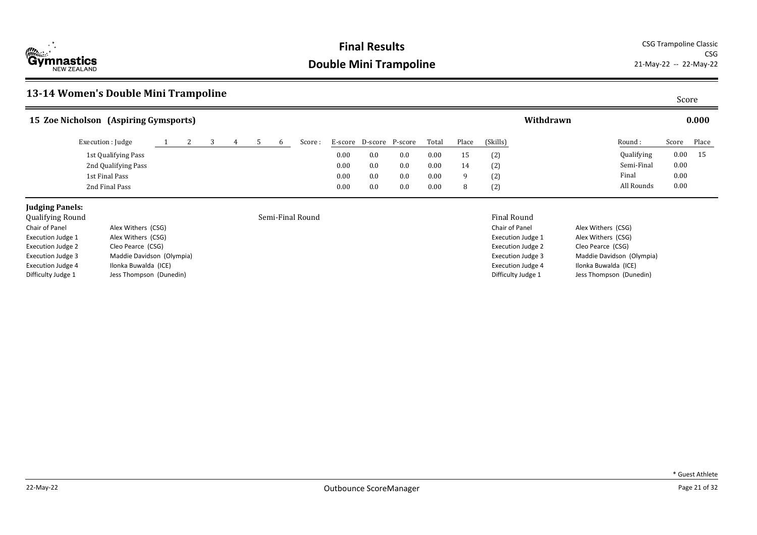

CSG<br>21-May-22 -- 22-May-22

## **13-14 Women's Double Mini Trampoline** Score

| 15 Zoe Nicholson (Aspiring Gymsports) |  |  |  |         |         |     |                 |       |       |          | Withdrawn |                   |          | 0.000 |
|---------------------------------------|--|--|--|---------|---------|-----|-----------------|-------|-------|----------|-----------|-------------------|----------|-------|
| Execution : Judge                     |  |  |  | Score : | E-score |     | D-score P-score | Total | Place | (Skills) |           | Round:            | Score    | Place |
| 1st Qualifying Pass                   |  |  |  |         | 0.00    | 0.0 | 0.0             | 0.00  | 15    | (2)      |           | <b>Qualifying</b> | $0.00\,$ | 15    |
| 2nd Qualifying Pass                   |  |  |  |         | 0.00    | 0.0 | 0.0             | 0.00  | 14    | (2)      |           | Semi-Final        | $0.00\,$ |       |
| 1st Final Pass                        |  |  |  |         | 0.00    | 0.0 | 0.0             | 0.00  |       | (2)      |           | Final             | 0.00     |       |
| 2nd Final Pass                        |  |  |  |         | 0.00    | 0.0 | 0.0             | 0.00  |       | (2)      |           | All Rounds        | 0.00     |       |

## **Judging Panels:**<br>Oualifying Round

| vuuniving nounu          |                           |
|--------------------------|---------------------------|
| Chair of Panel           | Alex Withers (CSG)        |
| <b>Execution Judge 1</b> | Alex Withers (CSG)        |
| <b>Execution Judge 2</b> | Cleo Pearce (CSG)         |
| <b>Execution Judge 3</b> | Maddie Davidson (Olympia) |
| <b>Execution Judge 4</b> | Ilonka Buwalda (ICE)      |
| Difficulty Judge 1       | Jess Thompson (Dunedin)   |

### Semi-Final Round **Semi-Final Round** Final Round

| гшаг кошц                |                           |
|--------------------------|---------------------------|
| Chair of Panel           | Alex Withers (CSG)        |
| <b>Execution Judge 1</b> | Alex Withers (CSG)        |
| <b>Execution Judge 2</b> | Cleo Pearce (CSG)         |
| <b>Execution Judge 3</b> | Maddie Davidson (Olympia) |
| <b>Execution Judge 4</b> | Ilonka Buwalda (ICE)      |
| Difficulty Judge 1       | Jess Thompson (Dunedin)   |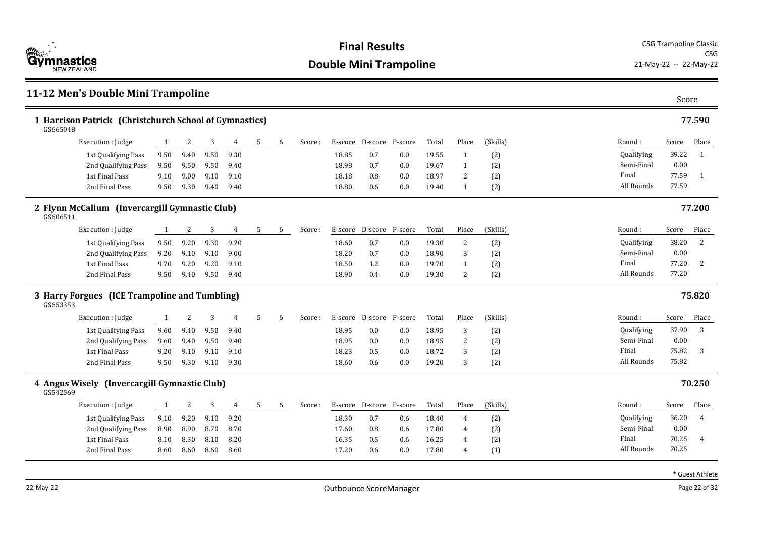

### **11-12 Men's Double Mini Trampoline** Score **1 Harrison Patrick (Christchurch School of Gymnastics) 77.590** Round : Qualifying Semi-Final Final All Rounds Score Place 39.22 1 0.00 77.59 1 GS665048 77.59 Execution : Judge 1 2 3 4 5 6 Score : E-score D-score P-score Total Place (Skills) 1st Qualifying Pass 9.50 9.40 9.50 9.30 18.85 0.7 0.0 19.55 1 (2) 2nd Oualifying Pass 9.50 9.50 9.50 9.40 18.98 0.7 0.0 19.67 1 (2) 1st Final Pass 9.10 9.00 9.10 9.10 10 18.18 0.8 0.0 18.97 2 (2) 2nd Final Pass 9.50 9.30 9.40 9.40 1 20 18.80 0.6 0.0 19.40 1 (2) **2 Flynn McCallum (Invercargill Gymnastic Club) 77.200** Round : Qualifying Semi-Final Final All Rounds Score Place 38.20 2 0.00 77.20 2 GS606511 77.20 Execution : Judge 1 2 3 4 5 6 Score : E-score D-score P-score Total Place (Skills) 1st Qualifying Pass 9.50 9.20 9.30 9.20 18.60 0.7 0.0 19.30 2 (2) 2nd Qualifying Pass 9.20 9.10 9.10 9.00 18.20 0.7 0.0 18.90 3 (2) 1st Final Pass 9.70 9.20 9.20 9.10 18.50 1.2 0.0 19.70 1 (2) 2nd Final Pass 9.50 9.40 9.50 9.40 18.90 0.4 0.0 19.30 2 (2) **3 Harry Forgues (ICE Trampoline and Tumbling) 75.820** Round : Qualifying Semi-Final Final All Rounds Score Place 37.90 3 0.00 75.82 3 GS653353 75.82 Execution : Judge 1 2 3 4 5 6 Score : E-score D-score P-score Total Place (Skills) 1st Qualifying Pass  $9.60$   $9.40$   $9.50$   $9.40$   $18.95$   $0.0$   $0.0$   $18.95$   $3$   $(2)$ 2nd Qualifying Pass 9.60 9.40 9.50 9.40 18.95 0.0 0.0 18.95 2 (2) 1st Final Pass 9.20 9.10 9.10 9.10 18.23 0.5 0.0 18.72 3 (2) 2nd Final Pass 9.50 9.30 9.10 9.30 18.60 0.6 0.0 19.20 3 (2) **4 Angus Wisely (Invercargill Gymnastic Club) 70.250** Round : Qualifying Semi-Final Final All Rounds Score Place 36.20 4 0.00 70.25 4 GS542569 70.25 Execution : Iudge 1 2 3 4 5 6 Score : E-score D-score P-score Total Place (Skills) 1st Qualifying Pass 9.10 9.20 9.10 9.20 18.30 0.7 0.6 18.40 4 (2) 2nd Qualifying Pass 8.90 8.90 8.70 8.70 17.60 0.8 0.6 17.80 4 (2) 1st Final Pass 8.10 8.30 8.10 8.20 16.35 0.5 0.6 16.25 4 (2) 2nd Final Pass 8.60 8.60 8.60 8.60 17.20 0.6 0.0 17.80 4 (1)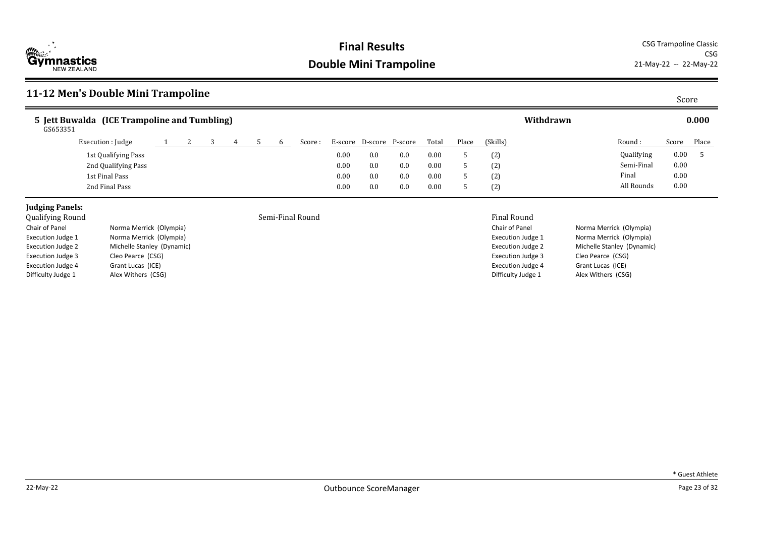

CSG<br>21-May-22 -- 22-May-22

## **11-12 Men's Double Mini Trampoline** Score

| 5 Jett Buwalda (ICE Trampoline and Tumbling)<br>GS653351 |  |  |  |         |         |         |         |       |       |          | Withdrawn |                   |       | 0.000 |
|----------------------------------------------------------|--|--|--|---------|---------|---------|---------|-------|-------|----------|-----------|-------------------|-------|-------|
| Execution : Judge                                        |  |  |  | Score : | E-score | D-score | P-score | Total | Place | (Skills) |           | Round:            | Score | Place |
| 1st Qualifying Pass                                      |  |  |  |         | 0.00    | 0.0     | 0.0     | 0.00  |       | (2)      |           | <b>Qualifying</b> | 0.00  |       |
| 2nd Qualifying Pass                                      |  |  |  |         | 0.00    | 0.0     | 0.0     | 0.00  |       | (2)      |           | Semi-Final        | 0.00  |       |
| 1st Final Pass                                           |  |  |  |         | 0.00    | 0.0     | 0.0     | 0.00  |       | (2)      |           | Final             | 0.00  |       |
| 2nd Final Pass                                           |  |  |  |         | 0.00    | 0.0     | 0.0     | 0.00  |       | (2)      |           | All Rounds        | 0.00  |       |

## **Judging Panels:**<br>Qualifying Round

| Qualifying Round         |                            | Semi-Final Round | <b>Final Round</b>    |
|--------------------------|----------------------------|------------------|-----------------------|
| Chair of Panel           | Norma Merrick (Olympia)    |                  | Chair of Panel        |
| <b>Execution Judge 1</b> | Norma Merrick (Olympia)    |                  | <b>Execution Judg</b> |
| <b>Execution Judge 2</b> | Michelle Stanley (Dynamic) |                  | <b>Execution Judg</b> |
| <b>Execution Judge 3</b> | Cleo Pearce (CSG)          |                  | <b>Execution Judg</b> |
| <b>Execution Judge 4</b> | Grant Lucas (ICE)          |                  | <b>Execution Judg</b> |
| Difficulty Judge 1       | Alex Withers (CSG)         |                  | Difficulty Judg       |
|                          |                            |                  |                       |

Chair of Panel Norma Merrick (Olympia) Execution Judge 1 Norma Merrick (Olympia) Execution Judge 2 Michelle Stanley (Dynamic) Execution Judge 3 Cleo Pearce (CSG) Execution Judge 4 Grant Lucas (ICE) Difficulty Judge 1 Alex Withers (CSG)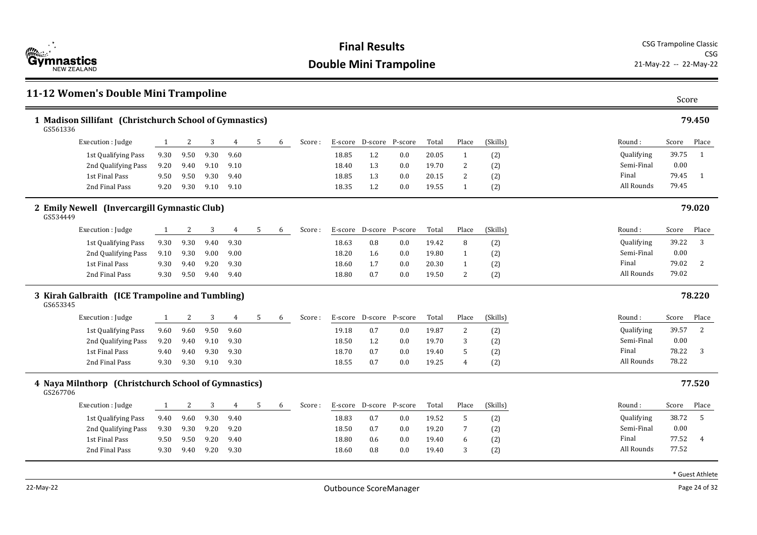

### **11-12 Women's Double Mini Trampoline** Score **1 Madison Sillifant (Christchurch School of Gymnastics) 79.450** Round : Qualifying Semi-Final Final All Rounds Score Place 39.75 1 0.00 79.45 1 GS561336 79.45 Execution : Judge 1 2 3 4 5 6 Score : E-score D-score P-score Total Place (Skills) 1st Qualifying Pass 9.30 9.50 9.30 9.60 18.85 1.2 0.0 20.05 1 (2) 2nd Oualifying Pass 9.20 9.40 9.10 9.10 10 18.40 1.3 0.0 19.70 2 (2) 1st Final Pass 9.50 9.50 9.40 18.85 1.3 0.0 20.15 2 (2) 2nd Final Pass 9.20 9.30 9.10 9.10 18.35 1.2 0.0 19.55 1 (2) **2 Emily Newell (Invercargill Gymnastic Club) 79.020** Round : Qualifying Semi-Final Final All Rounds Score Place 39.22 3 0.00 79.02 2 GS534449 79.02 Execution : Judge 1 2 3 4 5 6 Score : E-score D-score P-score Total Place (Skills) 1st Qualifying Pass 9.30 9.30 9.40 9.30 18.63 0.8 0.8 0.0 19.42 8 (2) 2nd Qualifying Pass 9.10 9.30 9.00 9.00 18.20 1.6 0.0 19.80 1 (2) 1st Final Pass 9.30 9.40 9.20 18.60 1.7 0.0 20.30 1 (2) 2nd Final Pass 9.30 9.50 9.40 9.40 18.80 0.7 0.0 19.50 2 (2) **3 Kirah Galbraith (ICE Trampoline and Tumbling) 78.220** Round : Qualifying Semi-Final Final All Rounds Score Place 39.57 2 0.00 78.22 3 GS653345 78.22 Execution : Judge 1 2 3 4 5 6 Score : E-score D-score P-score Total Place (Skills) 1st Qualifying Pass 9.60 9.60 9.50 9.60 19.18 0.7 0.0 19.87 2 (2) 2nd Qualifying Pass 9.20 9.40 9.10 9.30 18.50 1.2 0.0 19.70 3 (2) 1st Final Pass 9.40 9.40 9.30 9.30 18.70 0.7 0.0 19.40 5 (2) 2nd Final Pass 9.30 9.30 9.10 9.30 18.55 0.7 0.0 19.25 4 (2) **4 Naya Milnthorp (Christchurch School of Gymnastics) 77.520** Round : Qualifying Semi-Final Final All Rounds Score Place 38.72 5 0.00 77.52 4 GS267706 77.52 Execution : Iudge 1 2 3 4 5 6 Score : E-score D-score P-score Total Place (Skills) 1st Qualifying Pass 9.40 9.60 9.30 9.40 18.83 0.7 0.0 19.52 5 (2) 2nd Qualifying Pass 9.30 9.30 9.20 9.20 18.50 0.7 0.0 19.20 7 (2) 1st Final Pass 9.50 9.50 9.20 9.40 18.80 0.6 0.0 19.40 6 (2) 2nd Final Pass 9.30 9.40 9.20 9.30 18.60 0.8 0.0 19.40 3 (2)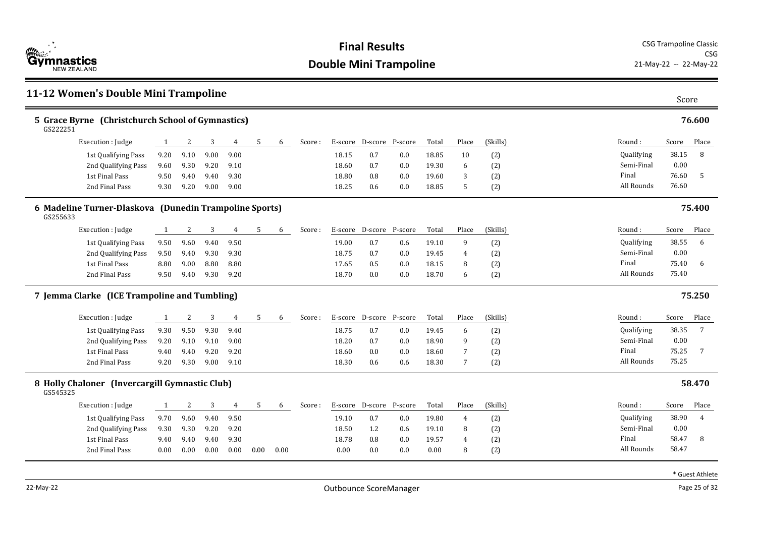

### **11-12 Women's Double Mini Trampoline** Score **5 Grace Byrne (Christchurch School of Gymnastics) 76.600** Round : Qualifying Semi-Final Final All Rounds Score Place 38.15 8 0.00 76.60 5 GS222251 76.60 Execution : Judge 1 2 3 4 5 6 Score : E-score D-score P-score Total Place (Skills) 1st Qualifying Pass 9.20 9.10 9.00 9.00 18.15 0.7 0.0 18.85 10 (2) 2nd Oualifying Pass 9.60 9.30 9.20 9.10 18.60 0.7 0.0 19.30 6 (2) 1st Final Pass 9.50 9.40 9.40 9.30 18.80 0.8 0.0 19.60 3 (2) 2nd Final Pass 9.30 9.20 9.00 9.00 18.25 0.6 0.0 18.85 5 (2) **6 Madeline Turner-Dlaskova (Dunedin Trampoline Sports) 75.400** Round : Qualifying Semi-Final Final All Rounds Score Place 38.55 6 0.00 75.40 6 GS255633 75.40 Execution : Judge 1 2 3 4 5 6 Score : E-score D-score P-score Total Place (Skills) 1st Qualifying Pass 9.50 9.60 9.40 9.50 19.00 0.7 0.6 19.10 9 (2) 2nd Qualifying Pass 9.50 9.40 9.30 9.30 18.75 0.7 0.0 19.45 4 (2) 1st Final Pass 8.80 9.00 8.80 8.80 17.65 0.5 0.0 18.15 8 (2) 2nd Final Pass 9.50 9.40 9.30 9.20 18.70 0.0 0.0 18.70 6 (2) **7 Jemma Clarke (ICE Trampoline and Tumbling) 75.250** Round : Qualifying Semi-Final Final All Rounds Score Place 38.35 7 0.00 75.25 7 75.25 Execution : Judge 1 2 3 4 5 6 Score : E-score D-score P-score Total Place (Skills) 1st Qualifying Pass 9.30 9.50 9.30 9.40 18.75 0.7 0.0 19.45 6 (2) 2nd Qualifying Pass 9.20 9.10 9.10 9.00 18.20 0.7 0.0 18.90 9 (2) 1st Final Pass 9.40 9.40 9.20 9.20 18.60 0.0 0.0 18.60 7 (2) 2nd Final Pass 9.20 9.30 9.00 9.10 18.30 0.6 0.6 18.30 7 (2) **8 Holly Chaloner (Invercargill Gymnastic Club) 58.470** Round : Qualifying Semi-Final Final All Rounds Score Place 38.90 4 0.00 58.47 8 GS545325 58.47 Execution : Iudge 1 2 3 4 5 6 Score : E-score D-score P-score Total Place (Skills) 1st Qualifying Pass 9.70 9.60 9.40 9.50 19.10 0.7 0.0 19.80 4 (2) 2nd Qualifying Pass 9.30 9.30 9.20 9.20 18.50 1.2 0.6 19.10 8 (2) 1st Final Pass 9.40 9.40 9.40 9.30 18.78 0.8 0.0 19.57 4 (2) 2nd Final Pass 0.00 0.00 0.00 0.00 0.00 0.00 0.00 0.0 0.0 0.00 8 (2)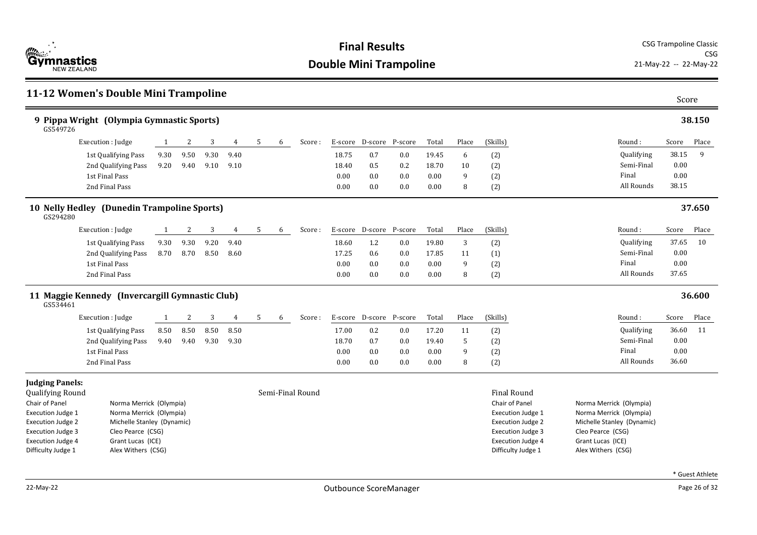

### **11-12 Women's Double Mini Trampoline** Score **9 Pippa Wright (Olympia Gymnastic Sports) 38.150** Round : Qualifying Semi-Final Final All Rounds Score Place 38.15 9 0.00 0.00 GS549726 38.15 Execution : Judge 1 2 3 4 5 6 Score : E-score D-score P-score Total Place (Skills) 1st Qualifying Pass 9.30 9.50 9.30 9.40 18.75 0.7 0.0 19.45 6 (2) 2nd Qualifying Pass 9.20 9.40 9.10 9.10 18.40 0.5 0.2 18.70 10 (2) 1st Final Pass 0.00 0.0 0.0 0.00 9 (2) 2nd Final Pass 0.00 0.0 0.0 0.00 8 (2) **10 Nelly Hedley (Dunedin Trampoline Sports) 37.650** Round : Qualifying Semi-Final Final All Rounds Score Place 37.65 10 0.00 0.00 GS294280 37.65 Execution : Judge 1 2 3 4 5 6 Score : E-score D-score P-score Total Place (Skills) 1st Qualifying Pass 9.30 9.30 9.20 9.40 18.60 1.2 0.0 19.80 3 (2) 2nd Qualifying Pass 8.70 8.70 8.50 8.60 17.25 0.6 0.0 17.85 11 (1) 1st Final Pass 0.00 0.0 0.0 0.00 9 (2) 2nd Final Pass 0.00 0.0 0.0 0.00 8 (2) **11 Maggie Kennedy (Invercargill Gymnastic Club) 36.600** Round : Qualifying Semi-Final Final All Rounds Score Place 36.60 11 0.00 0.00 GS534461 36.60 Execution : Judge 1 2 3 4 5 6 Score : E-score D-score P-score Total Place (Skills) 1st Qualifying Pass 8.50 8.50 8.50 8.50 17.00 0.2 0.0 17.20 11 (2) 2nd Qualifying Pass 9.40 9.40 9.30 9.30 18.70 0.7 0.0 19.40 5 (2) 1st Final Pass 0.00 0.0 0.0 0.00 9 (2) 2nd Final Pass 0.00 0.0 0.0 0.00 8 (2) **Judging Panels:** Qualifying Round Semi-Final Round Final Round Chair of Panel Norma Merrick (Olympia) Execution Judge 1 Norma Merrick (Olympia) Execution Judge 2 Michelle Stanley (Dynamic) Execution Judge 3 Cleo Pearce (CSG) Execution Judge 4 Grant Lucas (ICE) Difficulty Judge 1 Alex Withers (CSG) Chair of Panel Norma Merrick (Olympia) Execution Judge 1 Norma Merrick (Olympia) Execution Judge 2 Michelle Stanley (Dynamic) Execution Judge 3 Cleo Pearce (CSG) Execution Judge 4 Grant Lucas (ICE) Difficulty Judge 1 Alex Withers (CSG)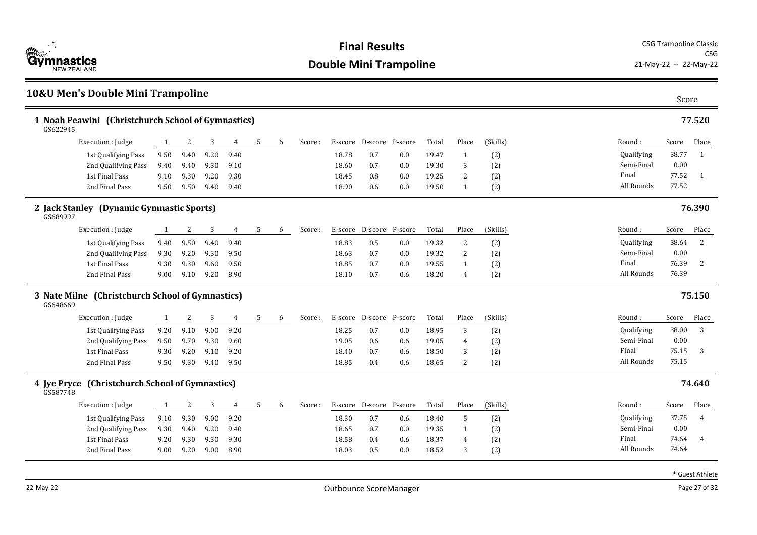

### **10&U Men's Double Mini Trampoline** Score **1 Noah Peawini (Christchurch School of Gymnastics) 77.520** Round : Qualifying Semi-Final Final All Rounds Score Place 38.77 1 0.00 77.52 1 GS622945 77.52 Execution : Judge 1 2 3 4 5 6 Score : E-score D-score P-score Total Place (Skills) 1st Qualifying Pass 9.50 9.40 9.20 9.40 18.78 0.7 0.0 19.47 1 (2) 2nd Oualifying Pass 9.40 9.40 9.30 9.10 18.60 0.7 0.0 19.30 3 (2) 1st Final Pass 9.10 9.30 9.20 9.30 18.45 0.8 0.0 19.25 2 (2) 2nd Final Pass 9.50 9.50 9.40 9.40 18.90 0.6 0.0 19.50 1 (2) **2 Jack Stanley (Dynamic Gymnastic Sports) 76.390** Round : Qualifying Semi-Final Final All Rounds Score Place 38.64 2 0.00 76.39 2 GS689997 76.39 Execution : Judge 1 2 3 4 5 6 Score : E-score D-score P-score Total Place (Skills) 1st Qualifying Pass 9.40 9.50 9.40 9.40 18.83 0.5 0.0 19.32 2 (2) 2nd Qualifying Pass 9.30 9.20 9.30 9.50 18.63 0.7 0.0 19.32 2 (2) 1st Final Pass 9.30 9.30 9.60 9.50 18.85 0.7 0.0 19.55 1 (2) 2nd Final Pass 9.00 9.10 9.20 8.90 18.10 0.7 0.6 18.20 4 (2) **3 Nate Milne (Christchurch School of Gymnastics) 75.150** Round : Qualifying Semi-Final Final All Rounds Score Place 38.00 3 0.00 75.15 3 GS648669 75.15 Execution : Judge 1 2 3 4 5 6 Score : E-score D-score P-score Total Place (Skills) 1st Qualifying Pass 9.20 9.10 9.00 9.20 18.25 0.7 0.0 18.95 3 (2) 2nd Qualifying Pass 9.50 9.70 9.30 9.60 19.05 0.6 0.6 19.05 4 (2) 1st Final Pass 9.30 9.20 9.10 9.20 18.40 0.7 0.6 18.50 3 (2) 2nd Final Pass 9.50 9.30 9.40 9.50 18.85 0.4 0.6 18.65 2 (2) **4 Jye Pryce (Christchurch School of Gymnastics) 74.640** Round : Qualifying Semi-Final Final All Rounds Score Place 37.75 4 0.00 74.64 4 GS587748 74.64 Execution : Iudge 1 2 3 4 5 6 Score : E-score D-score P-score Total Place (Skills) 1st Qualifying Pass 9.10 9.30 9.00 9.20 18.30 0.7 0.6 18.40 5 (2) 2nd Qualifying Pass 9.30 9.40 9.20 9.40 18.65 0.7 0.0 19.35 1 (2) 1st Final Pass 9.20 9.30 9.30 9.30 18.58 0.4 0.6 18.37 4 (2) 2nd Final Pass 9.00 9.20 9.00 8.90 18.03 0.5 0.0 18.52 3 (2)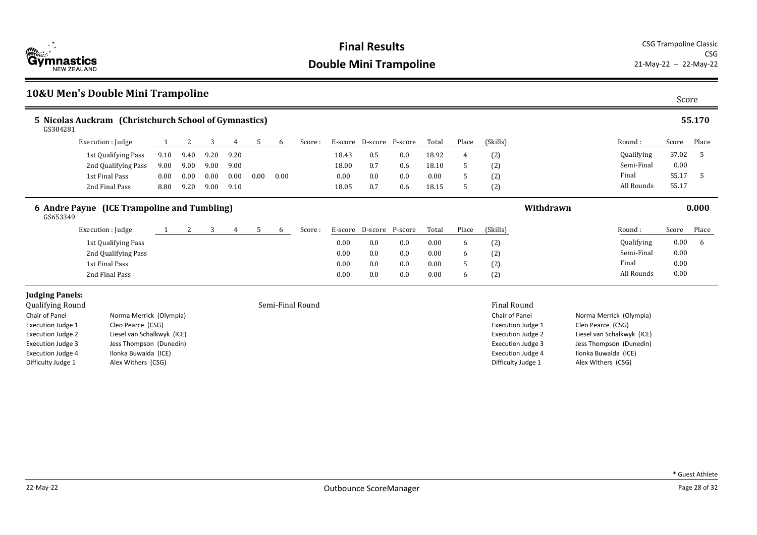

### **10&U Men's Double Mini Trampoline** Score **5 Nicolas Auckram (Christchurch School of Gymnastics) 55.170** Round : Qualifying Semi-Final Final All Rounds Score Place 37.02 5 0.00 55.17 5 GS304281 55.17 Execution : Judge 1 2 3 4 5 6 Score : E-score D-score P-score Total Place (Skills) 1st Qualifying Pass 9.10 9.40 9.20 9.20 18.43 0.5 0.0 18.92 4 (2) 2nd Oualifying Pass 9.00 9.00 9.00 9.00 18.00 0.7 0.6 18.10 5 (2) 1st Final Pass 0.00 0.00 0.00 0.00 0.00 0.00 0.00 0.0 0.0 0.00 5 (2) 2nd Final Pass 8.80 9.20 9.00 9.10 18.05 0.7 0.6 18.15 5 (2) **6 Andre Payne (ICE Trampoline and Tumbling) Withdrawn 0.000** Round : Qualifying Semi-Final Final All Rounds Score Place 0.00 6 0.00 0.00 GS653349 0.00 Execution : Judge 1 2 3 4 5 6 Score : E-score D-score P-score Total Place (Skills) 1st Qualifying Pass 6 12 and 13t Qualifying Pass 6 2 and 13t Qualifying Pass 6 2 and 13t Qualifying Pass 6 2 and 13t Qualifying Pass 6 2 and 13t Qualifying Pass 6 and 13t Qualifying Pass 6 and 13t Qualifying Pass 6 and 13t 2nd Qualifying Pass 0.00 0.0 0.0 0.00 6 (2) 1st Final Pass 0.00 0.0 0.0 0.00 5 (2) 2nd Final Pass 0.00 0.0 0.0 0.00 6 (2) **Judging Panels:** Oualifying Round **Semi-Final Round** Semi-Final Round Semi-Final Round Final Round Final Round Chair of Panel **Norma Merrick** (Olympia) Execution Judge 1 Cleo Pearce (CSG) Execution Judge 2 Liesel van Schalkwyk (ICE) Execution Judge 3 Jess Thompson (Dunedin) Execution Judge 4 Ilonka Buwalda (ICE) Difficulty Judge 1 Alex Withers (CSG) Chair of Panel Norma Merrick (Olympia) Execution Judge 1 Cleo Pearce (CSG) Execution Judge 2 Liesel van Schalkwyk (ICE) Execution Judge 3 Jess Thompson (Dunedin) Execution Judge 4 Ilonka Buwalda (ICE) Difficulty Judge 1 Alex Withers (CSG)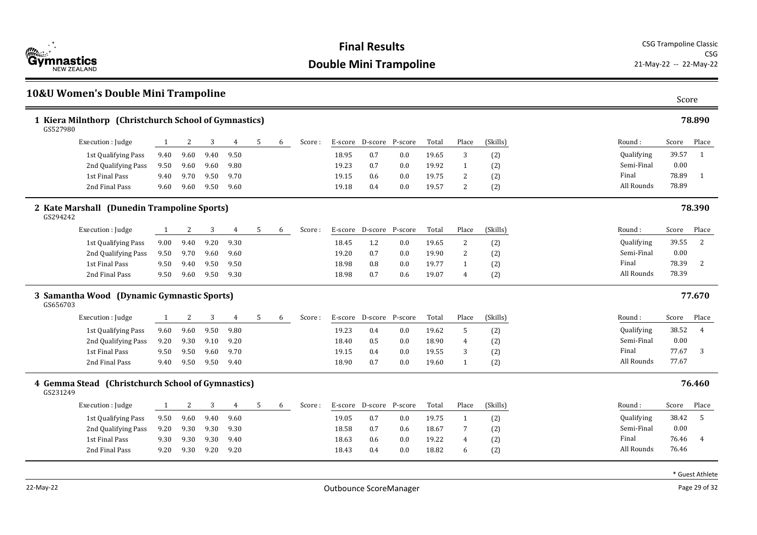

### **10&U Women's Double Mini Trampoline** Score **1 Kiera Milnthorp (Christchurch School of Gymnastics) 78.890** Round : Qualifying Semi-Final Final All Rounds Score Place 39.57 1 0.00 78.89 1 GS527980 78.89 Execution : Judge 1 2 3 4 5 6 Score : E-score D-score P-score Total Place (Skills) 1st Qualifying Pass 9.40 9.60 9.40 9.50 18.95 0.7 0.0 19.65 3 (2) 2nd Qualifying Pass 9.50 9.60 9.60 9.80 19.23 0.7 0.0 19.92 1 (2) 1st Final Pass 9.40 9.70 9.50 9.70 19.15 0.6 0.0 19.75 2 (2) 2nd Final Pass 9.60 9.60 9.50 9.60 19.18 0.4 0.0 19.57 2 (2) **2 Kate Marshall (Dunedin Trampoline Sports) 78.390** Round : Qualifying Semi-Final Final All Rounds Score Place 39.55 2 0.00 78.39 2 GS294242 78.39 Execution : Judge 1 2 3 4 5 6 Score : E-score D-score P-score Total Place (Skills) 1st Qualifying Pass 9.00 9.40 9.20 9.30 18.45 1.2 0.0 19.65 2 (2) 2nd Qualifying Pass 9.50 9.70 9.60 9.60 19.20 0.7 0.0 19.90 2 (2) 1st Final Pass 9.50 9.40 9.50 9.50 18.98 0.8 0.0 19.77 1 (2) 2nd Final Pass 9.50 9.60 9.50 9.30 18.98 0.7 0.6 19.07 4 (2) **3 Samantha Wood (Dynamic Gymnastic Sports) 77.670** Round : Qualifying Semi-Final Final All Rounds Score Place 38.52 4 0.00 77.67 3 GS656703 77.67 Execution : Judge 1 2 3 4 5 6 Score : E-score D-score P-score Total Place (Skills) 1st Qualifying Pass 9.60 9.60 9.50 9.80 19.23 0.4 0.0 19.62 5 (2) 2nd Qualifying Pass 9.20 9.30 9.10 9.20 18.40 18.40 0.5 0.0 18.90 4 (2) 1st Final Pass 9.50 9.50 9.60 9.70 19.15 0.4 0.0 19.55 3 (2) 2nd Final Pass 9.40 9.50 9.50 9.40 18.90 0.7 0.0 19.60 1 (2) **4 Gemma Stead (Christchurch School of Gymnastics) 76.460** Round : Qualifying Semi-Final Final All Rounds Score Place 38.42 5 0.00 76.46 4 GS231249 76.46 Execution : Iudge 1 2 3 4 5 6 Score : E-score D-score P-score Total Place (Skills) 1st Qualifying Pass 9.50 9.60 9.40 9.60 19.05 19.05 0.7 0.0 19.75 1 (2) 2nd Qualifying Pass 9.20 9.30 9.30 9.30 18.58 0.7 0.6 18.67 7 (2) 1st Final Pass 9.30 9.30 9.30 9.40 18.63 0.6 0.0 19.22 4 (2) 2nd Final Pass 9.20 9.30 9.20 9.20 18.43 0.4 0.0 18.82 6 (2)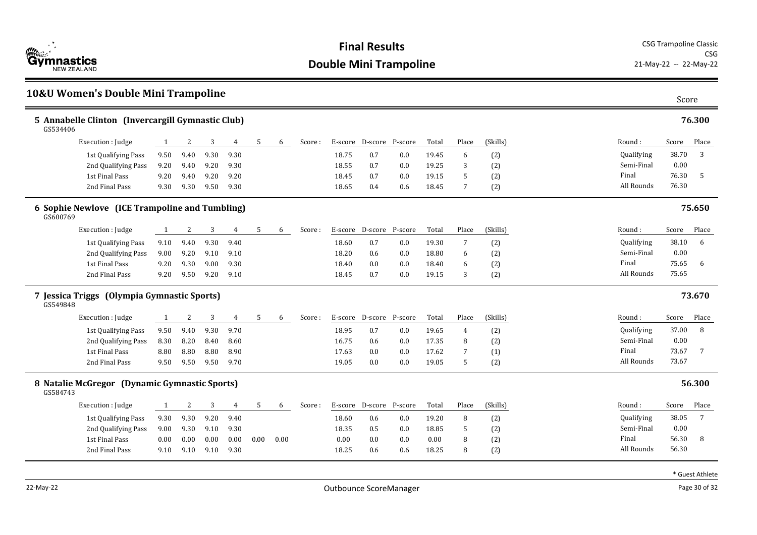

### **10&U Women's Double Mini Trampoline** Score **5 Annabelle Clinton (Invercargill Gymnastic Club) 76.300** Round : Qualifying Semi-Final Final All Rounds Score Place 38.70 3 0.00 76.30 5 GS534406 76.30 Execution : Judge 1 2 3 4 5 6 Score : E-score D-score P-score Total Place (Skills) 1st Qualifying Pass 9.50 9.40 9.30 9.30 18.75 0.7 0.0 19.45 6 (2) 2nd Oualifying Pass 9.20 9.40 9.20 9.30 18.55 0.7 0.0 19.25 3 (2) 1st Final Pass 9.20 9.40 9.20 9.20 18.45 0.7 0.0 19.15 5 (2) 2nd Final Pass 9.30 9.30 9.50 9.30 18.65 0.4 0.6 18.45 7 (2) **6 Sophie Newlove (ICE Trampoline and Tumbling) 75.650** Round : Qualifying Semi-Final Final All Rounds Score Place 38.10 6 0.00 75.65 6 GS600769 75.65 Execution : Judge 1 2 3 4 5 6 Score : E-score D-score P-score Total Place (Skills) 1st Qualifying Pass 9.10 9.40 9.30 9.40 18.60 0.7 0.0 19.30 7 (2) 2nd Qualifying Pass 9.00 9.20 9.10 9.10 18.20 0.6 0.0 18.80 6 (2) 1st Final Pass 9.20 9.30 9.00 9.30 18.40 0.0 0.0 18.40 6 (2) 2nd Final Pass 9.20 9.50 9.20 9.10 18.45 0.7 0.0 19.15 3 (2) **7 Jessica Triggs (Olympia Gymnastic Sports) 73.670** Round : Qualifying Semi-Final Final All Rounds Score Place 37.00 8 0.00 73.67 7 GS549848 73.67 Execution : Judge 1 2 3 4 5 6 Score : E-score D-score P-score Total Place (Skills) 1st Qualifying Pass  $9.50$   $9.40$   $9.30$   $9.70$   $18.95$   $0.7$   $0.0$   $19.65$   $4$   $(2)$ 2nd Qualifying Pass 8.30 8.20 8.40 8.60 16.75 0.6 0.0 17.35 8 (2) 1st Final Pass 8.80 8.80 8.80 8.90 17.63 0.0 0.0 17.62 7 (1) 2nd Final Pass 9.50 9.50 9.50 9.70 19.05 0.0 0.0 19.05 5 (2) **8 Natalie McGregor (Dynamic Gymnastic Sports) 56.300** Round : Qualifying Semi-Final Final All Rounds Score Place 38.05 7 0.00 56.30 8 GS584743 56.30 Execution : Iudge 1 2 3 4 5 6 Score : E-score D-score P-score Total Place (Skills) 1st Qualifying Pass 9.30 9.30 9.20 9.40 18.60 0.6 0.0 19.20 8 (2) 2nd Qualifying Pass 9.00 9.30 9.10 9.30 18.35 0.5 0.0 18.85 5 (2) 1st Final Pass 0.00 0.00 0.00 0.00 0.00 0.00 0.00 0.0 0.0 0.00 8 (2) 2nd Final Pass 9.10 9.10 9.10 9.30 18.25 0.6 0.6 18.25 8 (2)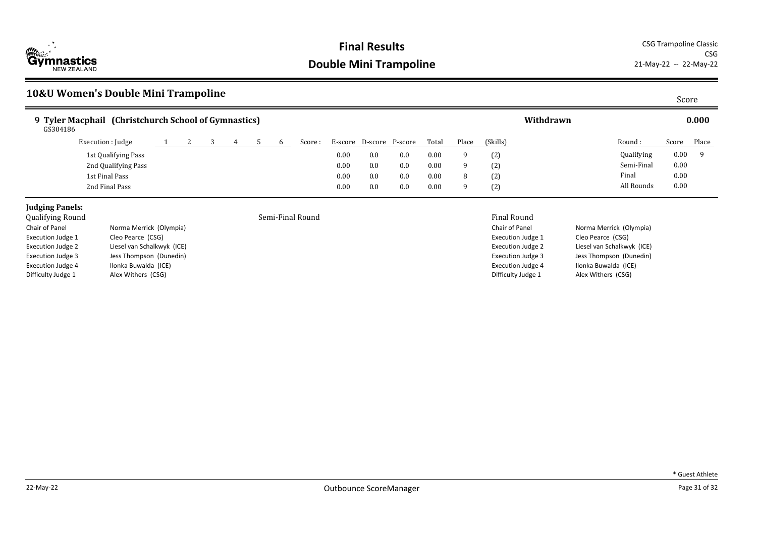

CSG<br>21-May-22 -- 22-May-22

## **10&U Women's Double Mini Trampoline** Score

| 9 Tyler Macphail (Christchurch School of Gymnastics)<br>GS304186 |  |  |   |         |         |         |         |       |       |           | Withdrawn |            |       | 0.000 |
|------------------------------------------------------------------|--|--|---|---------|---------|---------|---------|-------|-------|-----------|-----------|------------|-------|-------|
| Execution : Judge                                                |  |  | h | Score : | E-score | D-score | P-score | Total | Place | (Skills)  |           | Round:     | Score | Place |
| 1st Qualifying Pass                                              |  |  |   |         | 0.00    | 0.0     | 0.0     | 0.00  |       | (2)       |           | Qualifying | 0.00  |       |
| 2nd Qualifying Pass                                              |  |  |   |         | 0.00    | 0.0     | 0.0     | 0.00  |       | (2)       |           | Semi-Final | 0.00  |       |
| 1st Final Pass                                                   |  |  |   |         | 0.00    | 0.0     | 0.0     | 0.00  |       | (2)<br>ιŽ |           | Final      | 0.00  |       |
| 2nd Final Pass                                                   |  |  |   |         | 0.00    | 0.0     | 0.0     | 0.00  |       | (2)       |           | All Rounds | 0.00  |       |

## **Judging Panels:**<br>Qualifying Round

### Semi-Final Round **Final Round** Final Round Final Round

| Chair of Panel           | Norma Merrick (Olympia)    |
|--------------------------|----------------------------|
| <b>Execution Judge 1</b> | Cleo Pearce (CSG)          |
| <b>Execution Judge 2</b> | Liesel van Schalkwyk (ICE) |
| <b>Execution Judge 3</b> | Jess Thompson (Dunedin)    |
| <b>Execution Judge 4</b> | Ilonka Buwalda (ICE)       |
| Difficulty Judge 1       | Alex Withers (CSG)         |

|  | * Guest Athlete |
|--|-----------------|